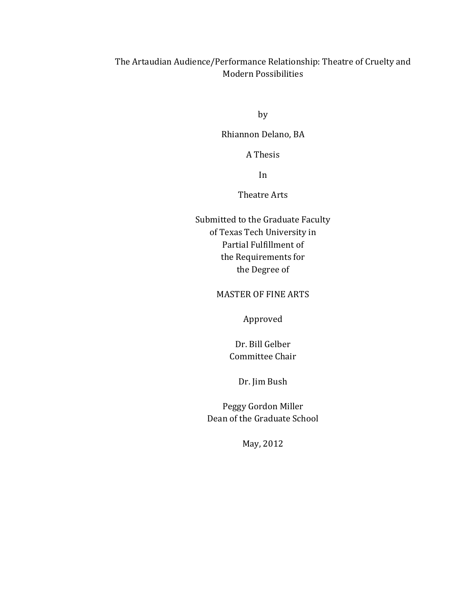### The Artaudian Audience/Performance Relationship: Theatre of Cruelty and **Modern Possibilities**

by

Rhiannon Delano, BA

A!Thesis

In

Theatre Arts

Submitted to the Graduate Faculty of Texas Tech University in Partial Fulfillment of the Requirements for the Degree of

**MASTER OF FINE ARTS** 

Approved

Dr. Bill Gelber Committee Chair

Dr. Jim Bush

Peggy Gordon Miller Dean of the Graduate School

May, 2012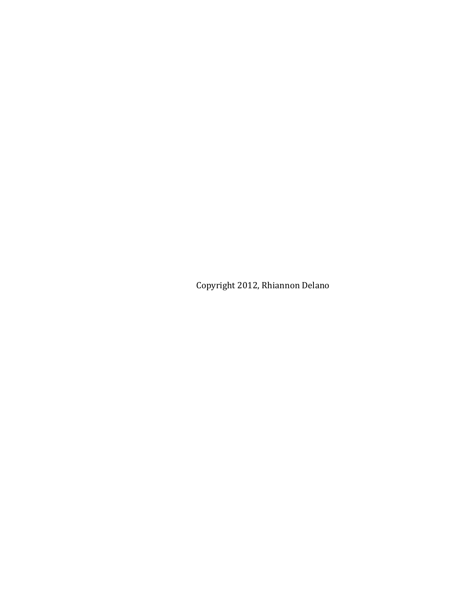Copyright 2012, Rhiannon Delano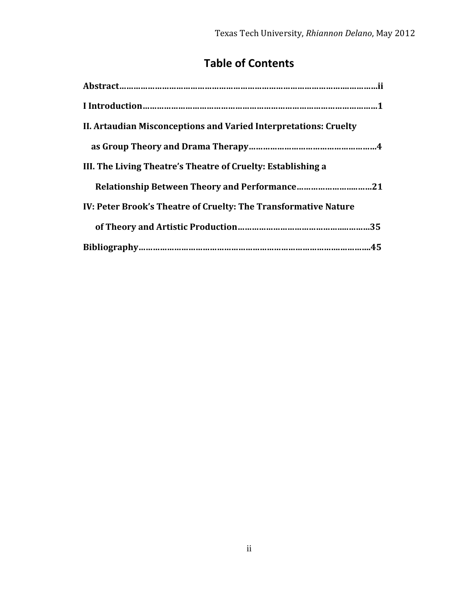# **Table of Contents**

| II. Artaudian Misconceptions and Varied Interpretations: Cruelty |
|------------------------------------------------------------------|
|                                                                  |
| III. The Living Theatre's Theatre of Cruelty: Establishing a     |
|                                                                  |
| IV: Peter Brook's Theatre of Cruelty: The Transformative Nature  |
|                                                                  |
|                                                                  |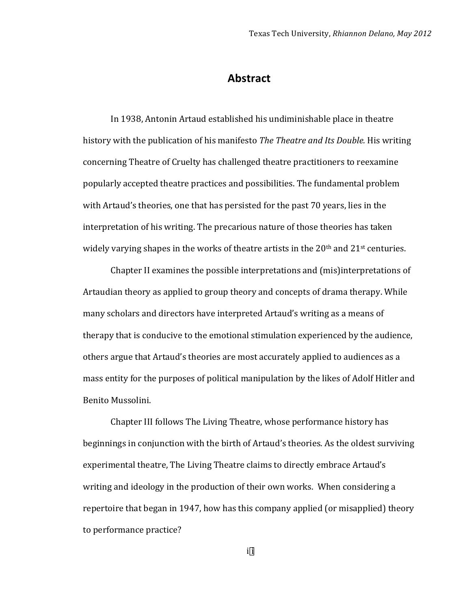#### **Abstract**

In 1938, Antonin Artaud established his undiminishable place in theatre history with the publication of his manifesto *The Theatre and Its Double.* His writing concerning Theatre of Cruelty has challenged theatre practitioners to reexamine popularly accepted theatre practices and possibilities. The fundamental problem with Artaud's theories, one that has persisted for the past 70 years, lies in the interpretation of his writing. The precarious nature of those theories has taken widely varying shapes in the works of theatre artists in the  $20<sup>th</sup>$  and  $21<sup>st</sup>$  centuries.

Chapter II examines the possible interpretations and (mis)interpretations of Artaudian theory as applied to group theory and concepts of drama therapy. While many scholars and directors have interpreted Artaud's writing as a means of therapy that is conducive to the emotional stimulation experienced by the audience, others argue that Artaud's theories are most accurately applied to audiences as a mass entity for the purposes of political manipulation by the likes of Adolf Hitler and Benito Mussolini.

Chapter III follows The Living Theatre, whose performance history has beginnings in conjunction with the birth of Artaud's theories. As the oldest surviving experimental theatre, The Living Theatre claims to directly embrace Artaud's writing and ideology in the production of their own works. When considering a repertoire that began in 1947, how has this company applied (or misapplied) theory to performance practice?

i¥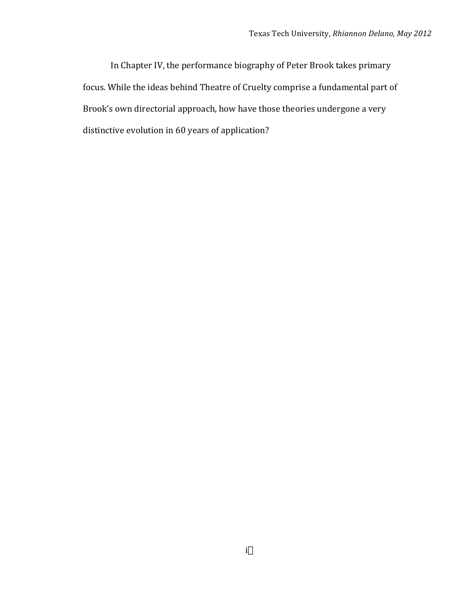In Chapter IV, the performance biography of Peter Brook takes primary focus. While the ideas behind Theatre of Cruelty comprise a fundamental part of Brook's own directorial approach, how have those theories undergone a very distinctive evolution in 60 years of application?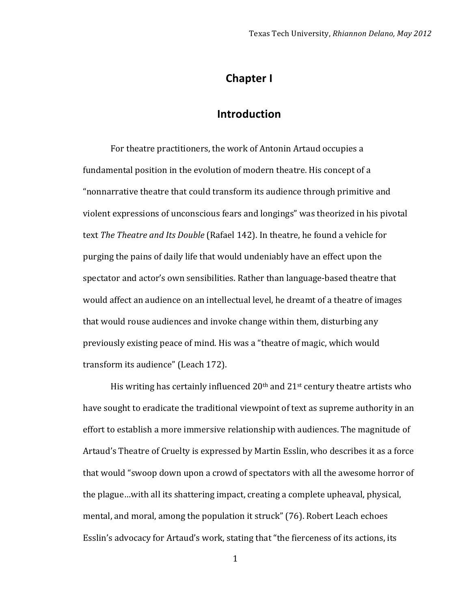### **Chapter I**

### **Introduction**

For theatre practitioners, the work of Antonin Artaud occupies a fundamental position in the evolution of modern theatre. His concept of a "nonnarrative theatre that could transform its audience through primitive and violent expressions of unconscious fears and longings" was theorized in his pivotal text The Theatre and Its Double (Rafael 142). In theatre, he found a vehicle for purging the pains of daily life that would undeniably have an effect upon the spectator and actor's own sensibilities. Rather than language-based theatre that would affect an audience on an intellectual level, he dreamt of a theatre of images that would rouse audiences and invoke change within them, disturbing any previously existing peace of mind. His was a "theatre of magic, which would transform its audience" (Leach 172).

His writing has certainly influenced  $20<sup>th</sup>$  and  $21<sup>st</sup>$  century theatre artists who have sought to eradicate the traditional viewpoint of text as supreme authority in an effort to establish a more immersive relationship with audiences. The magnitude of Artaud's Theatre of Cruelty is expressed by Martin Esslin, who describes it as a force that would "swoop down upon a crowd of spectators with all the awesome horror of the plague…with all its shattering impact, creating a complete upheaval, physical, mental, and moral, among the population it struck" (76). Robert Leach echoes Esslin's advocacy for Artaud's work, stating that "the fierceness of its actions, its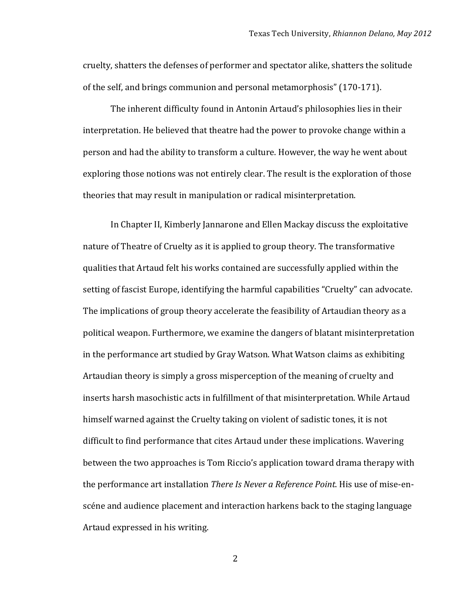cruelty, shatters the defenses of performer and spectator alike, shatters the solitude of the self, and brings communion and personal metamorphosis" (170-171).

The inherent difficulty found in Antonin Artaud's philosophies lies in their interpretation. He believed that theatre had the power to provoke change within a person and had the ability to transform a culture. However, the way he went about exploring those notions was not entirely clear. The result is the exploration of those theories that may result in manipulation or radical misinterpretation.

In Chapter II, Kimberly Jannarone and Ellen Mackay discuss the exploitative nature of Theatre of Cruelty as it is applied to group theory. The transformative qualities that Artaud felt his works contained are successfully applied within the setting of fascist Europe, identifying the harmful capabilities "Cruelty" can advocate. The implications of group theory accelerate the feasibility of Artaudian theory as a political weapon. Furthermore, we examine the dangers of blatant misinterpretation in the performance art studied by Gray Watson. What Watson claims as exhibiting Artaudian theory is simply a gross misperception of the meaning of cruelty and inserts harsh masochistic acts in fulfillment of that misinterpretation. While Artaud himself warned against the Cruelty taking on violent of sadistic tones, it is not difficult to find performance that cites Artaud under these implications. Wavering between the two approaches is Tom Riccio's application toward drama therapy with the performance art installation *There Is Never a Reference Point*. His use of mise-enscéne and audience placement and interaction harkens back to the staging language Artaud expressed in his writing.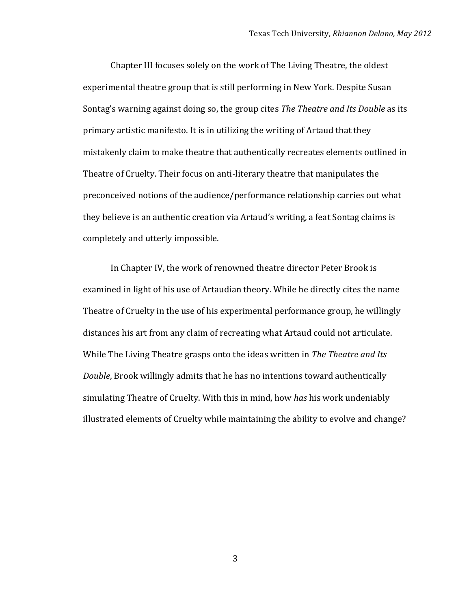Chapter III focuses solely on the work of The Living Theatre, the oldest experimental theatre group that is still performing in New York. Despite Susan Sontag's warning against doing so, the group cites *The Theatre and Its Double* as its primary artistic manifesto. It is in utilizing the writing of Artaud that they mistakenly claim to make theatre that authentically recreates elements outlined in Theatre of Cruelty. Their focus on anti-literary theatre that manipulates the preconceived notions of the audience/performance relationship carries out what they believe is an authentic creation via Artaud's writing, a feat Sontag claims is completely and utterly impossible.

In Chapter IV, the work of renowned theatre director Peter Brook is examined in light of his use of Artaudian theory. While he directly cites the name Theatre of Cruelty in the use of his experimental performance group, he willingly distances his art from any claim of recreating what Artaud could not articulate. While The Living Theatre grasps onto the ideas written in The Theatre and Its *Double*, Brook willingly admits that he has no intentions toward authentically simulating Theatre of Cruelty. With this in mind, how *has* his work undeniably illustrated elements of Cruelty while maintaining the ability to evolve and change?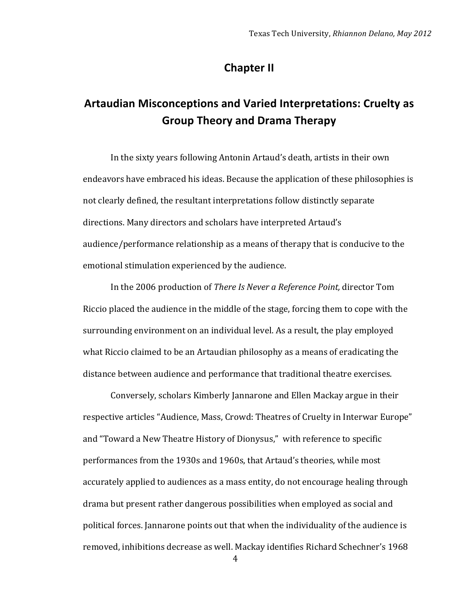### **Chapter II**

# Artaudian Misconceptions and Varied Interpretations: Cruelty as **Group&Theory&and&Drama&Therapy**

In the sixty years following Antonin Artaud's death, artists in their own endeavors have embraced his ideas. Because the application of these philosophies is not clearly defined, the resultant interpretations follow distinctly separate directions. Many directors and scholars have interpreted Artaud's audience/performance relationship as a means of therapy that is conducive to the emotional stimulation experienced by the audience.

In the 2006 production of *There Is Never a Reference Point*, director Tom Riccio placed the audience in the middle of the stage, forcing them to cope with the surrounding environment on an individual level. As a result, the play employed what Riccio claimed to be an Artaudian philosophy as a means of eradicating the distance between audience and performance that traditional theatre exercises.

Conversely, scholars Kimberly Jannarone and Ellen Mackay argue in their respective articles "Audience, Mass, Crowd: Theatres of Cruelty in Interwar Europe" and "Toward a New Theatre History of Dionysus," with reference to specific performances from the 1930s and 1960s, that Artaud's theories, while most accurately applied to audiences as a mass entity, do not encourage healing through drama but present rather dangerous possibilities when employed as social and political forces. Jannarone points out that when the individuality of the audience is removed, inhibitions decrease as well. Mackay identifies Richard Schechner's 1968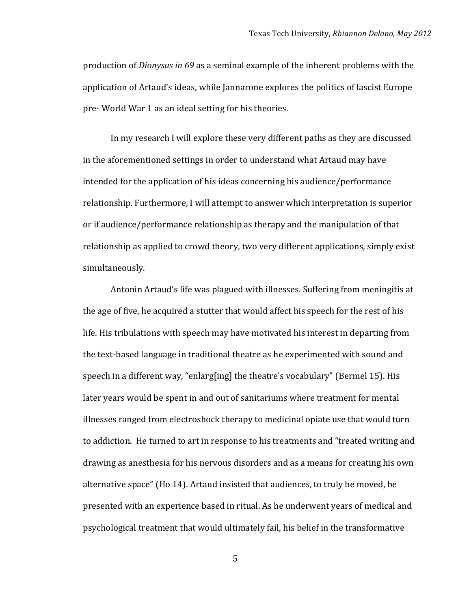production of *Dionysus in* 69 as a seminal example of the inherent problems with the application of Artaud's ideas, while Jannarone explores the politics of fascist Europe pre- World War 1 as an ideal setting for his theories.

In my research I will explore these very different paths as they are discussed in the aforementioned settings in order to understand what Artaud may have intended for the application of his ideas concerning his audience/performance relationship. Furthermore, I will attempt to answer which interpretation is superior or if audience/performance relationship as therapy and the manipulation of that relationship as applied to crowd theory, two very different applications, simply exist simultaneously.

Antonin Artaud's life was plagued with illnesses. Suffering from meningitis at the age of five, he acquired a stutter that would affect his speech for the rest of his life. His tribulations with speech may have motivated his interest in departing from the text-based language in traditional theatre as he experimented with sound and speech in a different way, "enlarg[ing] the theatre's vocabulary" (Bermel 15). His later years would be spent in and out of sanitariums where treatment for mental illnesses ranged from electroshock therapy to medicinal opiate use that would turn to addiction. He turned to art in response to his treatments and "treated writing and drawing as anesthesia for his nervous disorders and as a means for creating his own alternative space" (Ho 14). Artaud insisted that audiences, to truly be moved, be presented with an experience based in ritual. As he underwent years of medical and psychological treatment that would ultimately fail, his belief in the transformative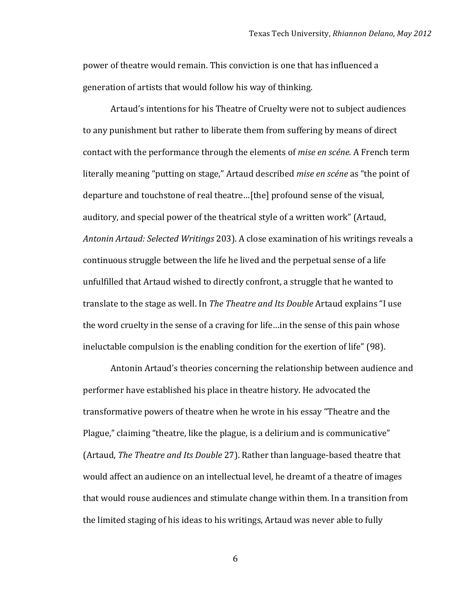power of theatre would remain. This conviction is one that has influenced a generation of artists that would follow his way of thinking.

Artaud's intentions for his Theatre of Cruelty were not to subject audiences to any punishment but rather to liberate them from suffering by means of direct contact with the performance through the elements of *mise en scéne*. A French term literally meaning "putting on stage," Artaud described *mise en scéne* as "the point of departure and touchstone of real theatre...[the] profound sense of the visual, auditory, and special power of the theatrical style of a written work" (Artaud, Antonin Artaud: Selected Writings 203). A close examination of his writings reveals a continuous struggle between the life he lived and the perpetual sense of a life unfulfilled that Artaud wished to directly confront, a struggle that he wanted to translate to the stage as well. In *The Theatre and Its Double* Artaud explains "I use the word cruelty in the sense of a craving for life...in the sense of this pain whose ineluctable compulsion is the enabling condition for the exertion of life" (98).

Antonin Artaud's theories concerning the relationship between audience and performer have established his place in theatre history. He advocated the transformative powers of theatre when he wrote in his essay "Theatre and the Plague," claiming "theatre, like the plague, is a delirium and is communicative" (Artaud, *The Theatre and Its Double* 27). Rather than language-based theatre that would affect an audience on an intellectual level, he dreamt of a theatre of images that would rouse audiences and stimulate change within them. In a transition from the limited staging of his ideas to his writings, Artaud was never able to fully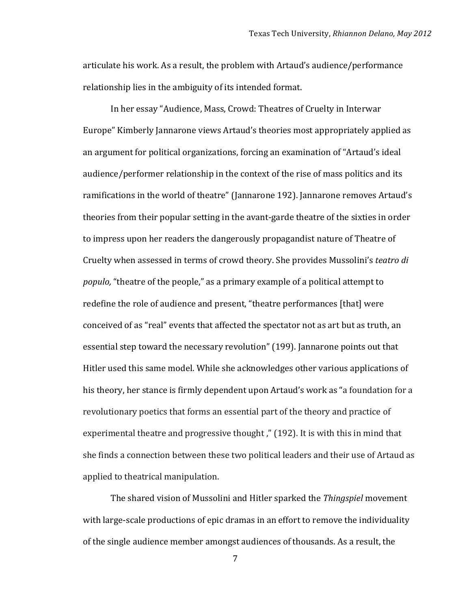articulate his work. As a result, the problem with Artaud's audience/performance relationship lies in the ambiguity of its intended format.

In her essay "Audience, Mass, Crowd: Theatres of Cruelty in Interwar Europe" Kimberly Jannarone views Artaud's theories most appropriately applied as an argument for political organizations, forcing an examination of "Artaud's ideal audience/performer relationship in the context of the rise of mass politics and its ramifications in the world of theatre" (Jannarone 192). Jannarone removes Artaud's theories from their popular setting in the avant-garde theatre of the sixties in order to impress upon her readers the dangerously propagandist nature of Theatre of Cruelty when assessed in terms of crowd theory. She provides Mussolini's *teatro di populo,* "theatre of the people," as a primary example of a political attempt to redefine the role of audience and present, "theatre performances [that] were conceived of as "real" events that affected the spectator not as art but as truth, an essential step toward the necessary revolution" (199). Jannarone points out that Hitler used this same model. While she acknowledges other various applications of his theory, her stance is firmly dependent upon Artaud's work as "a foundation for a revolutionary poetics that forms an essential part of the theory and practice of experimental theatre and progressive thought," (192). It is with this in mind that she finds a connection between these two political leaders and their use of Artaud as applied to theatrical manipulation.

The shared vision of Mussolini and Hitler sparked the *Thingspiel* movement with large-scale productions of epic dramas in an effort to remove the individuality of the single audience member amongst audiences of thousands. As a result, the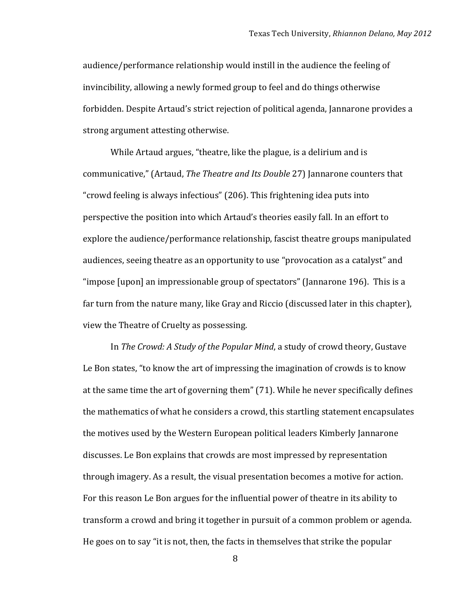audience/performance relationship would instill in the audience the feeling of invincibility, allowing a newly formed group to feel and do things otherwise forbidden. Despite Artaud's strict rejection of political agenda, Jannarone provides a strong argument attesting otherwise.

While Artaud argues, "theatre, like the plague, is a delirium and is communicative," (Artaud, *The Theatre and Its Double* 27) Jannarone counters that "crowd feeling is always infectious" (206). This frightening idea puts into perspective the position into which Artaud's theories easily fall. In an effort to explore the audience/performance relationship, fascist theatre groups manipulated audiences, seeing theatre as an opportunity to use "provocation as a catalyst" and "impose [upon] an impressionable group of spectators" (Jannarone 196). This is a far turn from the nature many, like Gray and Riccio (discussed later in this chapter), view the Theatre of Cruelty as possessing.

In The Crowd: A Study of the Popular Mind, a study of crowd theory, Gustave Le Bon states, "to know the art of impressing the imagination of crowds is to know at the same time the art of governing them" (71). While he never specifically defines the mathematics of what he considers a crowd, this startling statement encapsulates the motives used by the Western European political leaders Kimberly Jannarone discusses. Le Bon explains that crowds are most impressed by representation through imagery. As a result, the visual presentation becomes a motive for action. For this reason Le Bon argues for the influential power of theatre in its ability to transform a crowd and bring it together in pursuit of a common problem or agenda. He goes on to say "it is not, then, the facts in themselves that strike the popular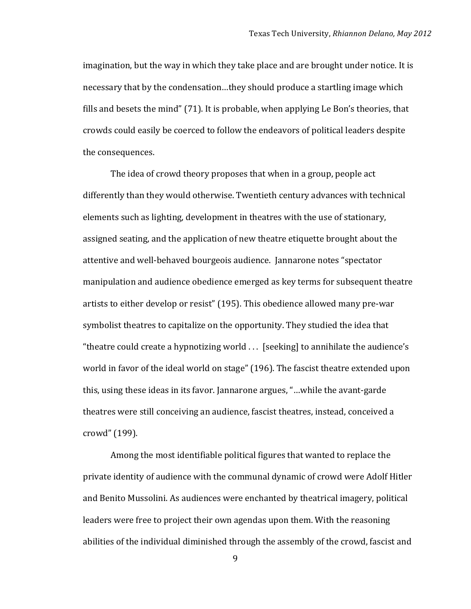imagination, but the way in which they take place and are brought under notice. It is necessary that by the condensation...they should produce a startling image which fills and besets the mind"  $(71)$ . It is probable, when applying Le Bon's theories, that crowds could easily be coerced to follow the endeavors of political leaders despite the consequences.

The idea of crowd theory proposes that when in a group, people act differently than they would otherwise. Twentieth century advances with technical elements such as lighting, development in theatres with the use of stationary, assigned seating, and the application of new theatre etiquette brought about the attentive and well-behaved bourgeois audience. Jannarone notes "spectator manipulation and audience obedience emerged as key terms for subsequent theatre artists to either develop or resist" (195). This obedience allowed many pre-war symbolist theatres to capitalize on the opportunity. They studied the idea that "theatre could create a hypnotizing world  $\ldots$  [seeking] to annihilate the audience's world in favor of the ideal world on stage" (196). The fascist theatre extended upon this, using these ideas in its favor. Jannarone argues, "...while the avant-garde theatres were still conceiving an audience, fascist theatres, instead, conceived a crowd" (199).

Among the most identifiable political figures that wanted to replace the private identity of audience with the communal dynamic of crowd were Adolf Hitler and Benito Mussolini. As audiences were enchanted by theatrical imagery, political leaders were free to project their own agendas upon them. With the reasoning abilities of the individual diminished through the assembly of the crowd, fascist and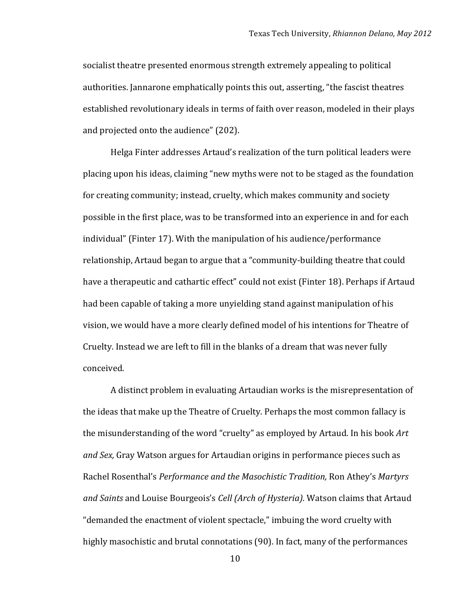socialist theatre presented enormous strength extremely appealing to political authorities. Jannarone emphatically points this out, asserting, "the fascist theatres established revolutionary ideals in terms of faith over reason, modeled in their plays and projected onto the audience" (202).

Helga Finter addresses Artaud's realization of the turn political leaders were placing upon his ideas, claiming "new myths were not to be staged as the foundation for creating community; instead, cruelty, which makes community and society possible in the first place, was to be transformed into an experience in and for each individual" (Finter 17). With the manipulation of his audience/performance relationship, Artaud began to argue that a "community-building theatre that could have a therapeutic and cathartic effect" could not exist (Finter 18). Perhaps if Artaud had been capable of taking a more unyielding stand against manipulation of his vision, we would have a more clearly defined model of his intentions for Theatre of Cruelty. Instead we are left to fill in the blanks of a dream that was never fully conceived.

A distinct problem in evaluating Artaudian works is the misrepresentation of the ideas that make up the Theatre of Cruelty. Perhaps the most common fallacy is the misunderstanding of the word "cruelty" as employed by Artaud. In his book Art and Sex, Gray Watson argues for Artaudian origins in performance pieces such as Rachel Rosenthal's *Performance and the Masochistic Tradition*, Ron Athey's Martyrs and Saints and Louise Bourgeois's *Cell (Arch of Hysteria)*. Watson claims that Artaud "demanded the enactment of violent spectacle," imbuing the word cruelty with highly masochistic and brutal connotations (90). In fact, many of the performances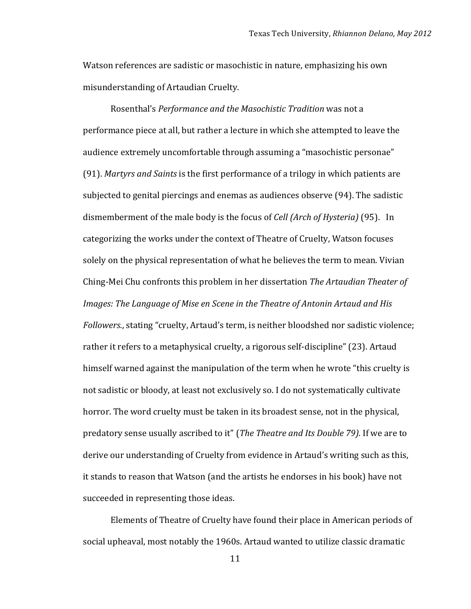Watson references are sadistic or masochistic in nature, emphasizing his own misunderstanding of Artaudian Cruelty.

Rosenthal's *Performance and the Masochistic Tradition* was not a performance piece at all, but rather a lecture in which she attempted to leave the audience extremely uncomfortable through assuming a "masochistic personae" (91). *Martyrs and Saints* is the first performance of a trilogy in which patients are subjected to genital piercings and enemas as audiences observe (94). The sadistic dismemberment of the male body is the focus of *Cell (Arch of Hysteria)* (95). In categorizing the works under the context of Theatre of Cruelty, Watson focuses solely on the physical representation of what he believes the term to mean. Vivian Ching-Mei Chu confronts this problem in her dissertation *The Artaudian Theater of Images: The Language of Mise en Scene in the Theatre of Antonin Artaud and His Followers.*, stating "cruelty, Artaud's term, is neither bloodshed nor sadistic violence; rather it refers to a metaphysical cruelty, a rigorous self-discipline" (23). Artaud himself warned against the manipulation of the term when he wrote "this cruelty is not sadistic or bloody, at least not exclusively so. I do not systematically cultivate horror. The word cruelty must be taken in its broadest sense, not in the physical, predatory sense usually ascribed to it" (*The Theatre and Its Double 79*). If we are to derive our understanding of Cruelty from evidence in Artaud's writing such as this, it stands to reason that Watson (and the artists he endorses in his book) have not succeeded in representing those ideas.

Elements of Theatre of Cruelty have found their place in American periods of social upheaval, most notably the 1960s. Artaud wanted to utilize classic dramatic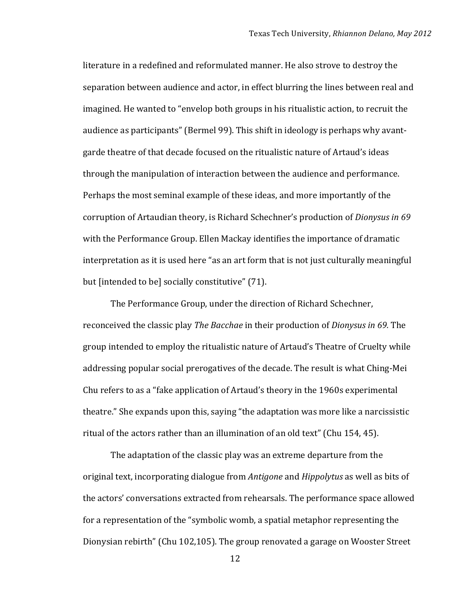literature in a redefined and reformulated manner. He also strove to destroy the separation between audience and actor, in effect blurring the lines between real and imagined. He wanted to "envelop both groups in his ritualistic action, to recruit the audience as participants" (Bermel 99). This shift in ideology is perhaps why avantgarde theatre of that decade focused on the ritualistic nature of Artaud's ideas through the manipulation of interaction between the audience and performance. Perhaps the most seminal example of these ideas, and more importantly of the corruption of Artaudian theory, is Richard Schechner's production of *Dionysus in 69* with the Performance Group. Ellen Mackay identifies the importance of dramatic interpretation as it is used here "as an art form that is not just culturally meaningful but [intended to be] socially constitutive" (71).

The Performance Group, under the direction of Richard Schechner, reconceived the classic play *The Bacchae* in their production of *Dionysus in 69.* The group intended to employ the ritualistic nature of Artaud's Theatre of Cruelty while addressing popular social prerogatives of the decade. The result is what Ching-Mei Chu refers to as a "fake application of Artaud's theory in the 1960s experimental theatre." She expands upon this, saying "the adaptation was more like a narcissistic ritual of the actors rather than an illumination of an old text" (Chu 154, 45).

The adaptation of the classic play was an extreme departure from the original text, incorporating dialogue from *Antigone* and *Hippolytus* as well as bits of the actors' conversations extracted from rehearsals. The performance space allowed for a representation of the "symbolic womb, a spatial metaphor representing the Dionysian rebirth" (Chu 102,105). The group renovated a garage on Wooster Street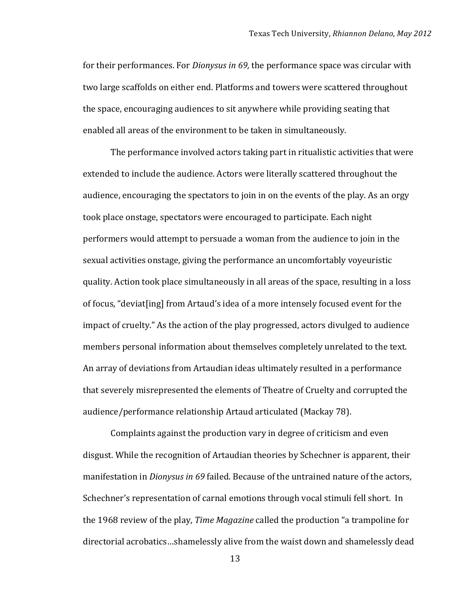for their performances. For *Dionysus in 69*, the performance space was circular with two large scaffolds on either end. Platforms and towers were scattered throughout the space, encouraging audiences to sit anywhere while providing seating that enabled all areas of the environment to be taken in simultaneously.

The performance involved actors taking part in ritualistic activities that were extended to include the audience. Actors were literally scattered throughout the audience, encouraging the spectators to join in on the events of the play. As an orgy took place onstage, spectators were encouraged to participate. Each night performers would attempt to persuade a woman from the audience to join in the sexual activities onstage, giving the performance an uncomfortably voyeuristic quality. Action took place simultaneously in all areas of the space, resulting in a loss of focus, "deviat[ing] from Artaud's idea of a more intensely focused event for the impact of cruelty." As the action of the play progressed, actors divulged to audience members personal information about themselves completely unrelated to the text. An array of deviations from Artaudian ideas ultimately resulted in a performance that severely misrepresented the elements of Theatre of Cruelty and corrupted the audience/performance relationship Artaud articulated (Mackay 78).

Complaints against the production vary in degree of criticism and even disgust. While the recognition of Artaudian theories by Schechner is apparent, their manifestation in *Dionysus in 69* failed. Because of the untrained nature of the actors, Schechner's representation of carnal emotions through vocal stimuli fell short. In the 1968 review of the play, *Time Magazine* called the production "a trampoline for directorial acrobatics...shamelessly alive from the waist down and shamelessly dead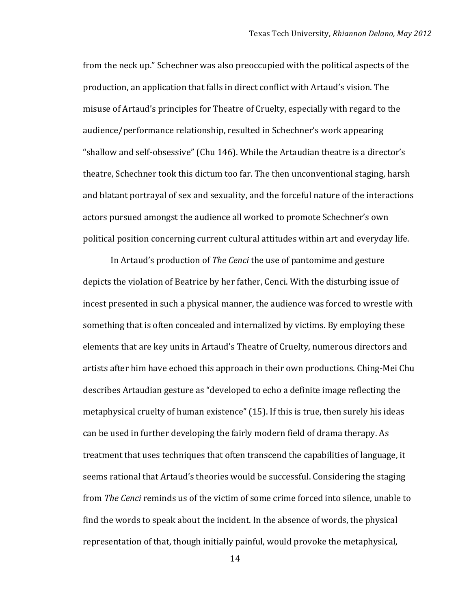from the neck up." Schechner was also preoccupied with the political aspects of the production, an application that falls in direct conflict with Artaud's vision. The misuse of Artaud's principles for Theatre of Cruelty, especially with regard to the audience/performance relationship, resulted in Schechner's work appearing "shallow and self-obsessive" (Chu 146). While the Artaudian theatre is a director's theatre, Schechner took this dictum too far. The then unconventional staging, harsh and blatant portrayal of sex and sexuality, and the forceful nature of the interactions actors pursued amongst the audience all worked to promote Schechner's own political position concerning current cultural attitudes within art and everyday life.

In Artaud's production of *The Cenci* the use of pantomime and gesture depicts the violation of Beatrice by her father, Cenci. With the disturbing issue of incest presented in such a physical manner, the audience was forced to wrestle with something that is often concealed and internalized by victims. By employing these elements that are key units in Artaud's Theatre of Cruelty, numerous directors and artists after him have echoed this approach in their own productions. Ching-Mei Chu describes Artaudian gesture as "developed to echo a definite image reflecting the metaphysical cruelty of human existence" (15). If this is true, then surely his ideas can be used in further developing the fairly modern field of drama therapy. As treatment that uses techniques that often transcend the capabilities of language, it seems rational that Artaud's theories would be successful. Considering the staging from *The Cenci* reminds us of the victim of some crime forced into silence, unable to find the words to speak about the incident. In the absence of words, the physical representation of that, though initially painful, would provoke the metaphysical,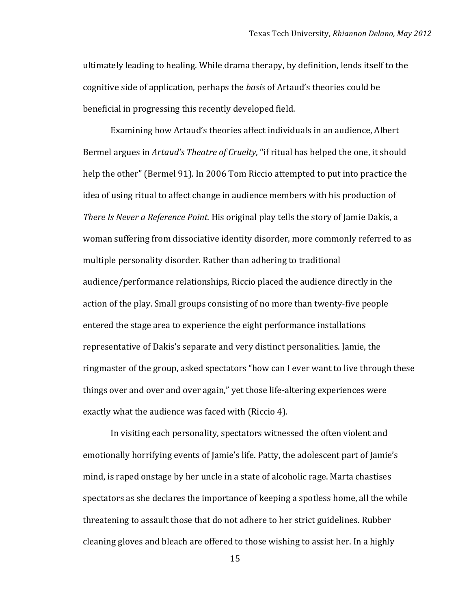ultimately leading to healing. While drama therapy, by definition, lends itself to the cognitive side of application, perhaps the *basis* of Artaud's theories could be beneficial in progressing this recently developed field.

Examining how Artaud's theories affect individuals in an audience, Albert Bermel argues in *Artaud's Theatre of Cruelty*, "if ritual has helped the one, it should help the other" (Bermel 91). In 2006 Tom Riccio attempted to put into practice the idea of using ritual to affect change in audience members with his production of *There Is Never a Reference Point.* His original play tells the story of Jamie Dakis, a woman suffering from dissociative identity disorder, more commonly referred to as multiple personality disorder. Rather than adhering to traditional audience/performance relationships, Riccio placed the audience directly in the action of the play. Small groups consisting of no more than twenty-five people entered the stage area to experience the eight performance installations representative of Dakis's separate and very distinct personalities. Jamie, the ringmaster of the group, asked spectators "how can I ever want to live through these things over and over and over again," yet those life-altering experiences were exactly what the audience was faced with (Riccio 4).

In visiting each personality, spectators witnessed the often violent and emotionally horrifying events of Jamie's life. Patty, the adolescent part of Jamie's mind, is raped onstage by her uncle in a state of alcoholic rage. Marta chastises spectators as she declares the importance of keeping a spotless home, all the while threatening to assault those that do not adhere to her strict guidelines. Rubber cleaning gloves and bleach are offered to those wishing to assist her. In a highly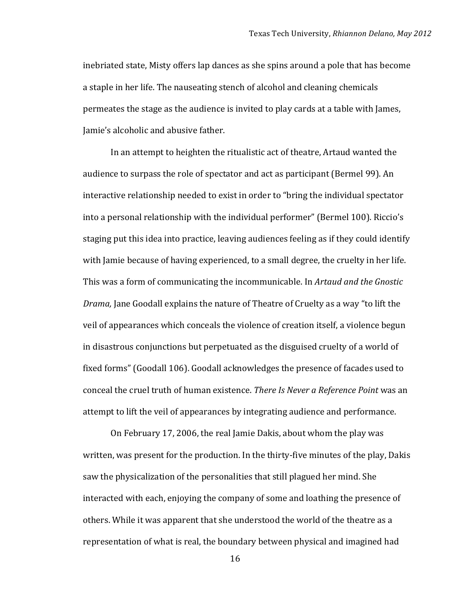inebriated state, Misty offers lap dances as she spins around a pole that has become a staple in her life. The nauseating stench of alcohol and cleaning chemicals permeates the stage as the audience is invited to play cards at a table with James, Jamie's alcoholic and abusive father.

In an attempt to heighten the ritualistic act of theatre, Artaud wanted the audience to surpass the role of spectator and act as participant (Bermel 99). An interactive relationship needed to exist in order to "bring the individual spectator into a personal relationship with the individual performer" (Bermel 100). Riccio's staging put this idea into practice, leaving audiences feeling as if they could identify with Jamie because of having experienced, to a small degree, the cruelty in her life. This was a form of communicating the incommunicable. In *Artaud and the Gnostic Drama*, Jane Goodall explains the nature of Theatre of Cruelty as a way "to lift the veil of appearances which conceals the violence of creation itself, a violence begun in disastrous conjunctions but perpetuated as the disguised cruelty of a world of fixed forms" (Goodall 106). Goodall acknowledges the presence of facades used to conceal the cruel truth of human existence. *There Is Never a Reference Point* was an attempt to lift the veil of appearances by integrating audience and performance.

On February 17, 2006, the real Jamie Dakis, about whom the play was written, was present for the production. In the thirty-five minutes of the play, Dakis saw the physicalization of the personalities that still plagued her mind. She interacted with each, enjoying the company of some and loathing the presence of others. While it was apparent that she understood the world of the theatre as a representation of what is real, the boundary between physical and imagined had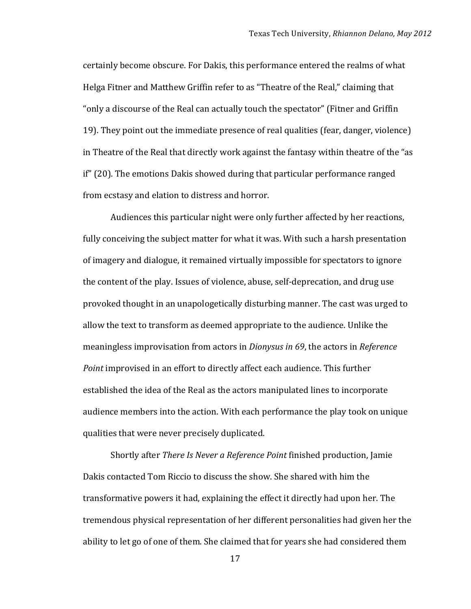certainly become obscure. For Dakis, this performance entered the realms of what Helga Fitner and Matthew Griffin refer to as "Theatre of the Real," claiming that "only a discourse of the Real can actually touch the spectator" (Fitner and Griffin 19). They point out the immediate presence of real qualities (fear, danger, violence) in Theatre of the Real that directly work against the fantasy within theatre of the "as if" (20). The emotions Dakis showed during that particular performance ranged from ecstasy and elation to distress and horror.

Audiences this particular night were only further affected by her reactions, fully conceiving the subject matter for what it was. With such a harsh presentation of imagery and dialogue, it remained virtually impossible for spectators to ignore the content of the play. Issues of violence, abuse, self-deprecation, and drug use provoked thought in an unapologetically disturbing manner. The cast was urged to allow the text to transform as deemed appropriate to the audience. Unlike the meaningless improvisation from actors in *Dionysus in* 69, the actors in *Reference Point* improvised in an effort to directly affect each audience. This further established the idea of the Real as the actors manipulated lines to incorporate audience members into the action. With each performance the play took on unique qualities that were never precisely duplicated.

Shortly after *There Is Never a Reference Point* finished production, Jamie Dakis contacted Tom Riccio to discuss the show. She shared with him the transformative powers it had, explaining the effect it directly had upon her. The tremendous physical representation of her different personalities had given her the ability to let go of one of them. She claimed that for years she had considered them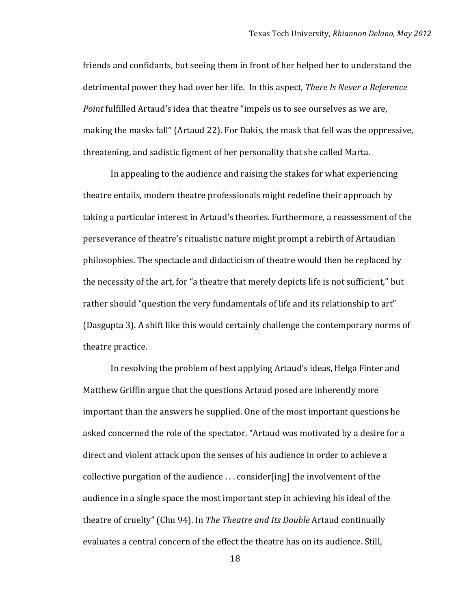friends and confidants, but seeing them in front of her helped her to understand the detrimental power they had over her life. In this aspect, *There Is Never a Reference Point* fulfilled Artaud's idea that theatre "impels us to see ourselves as we are, making the masks fall" (Artaud 22). For Dakis, the mask that fell was the oppressive, threatening, and sadistic figment of her personality that she called Marta.

In appealing to the audience and raising the stakes for what experiencing theatre entails, modern theatre professionals might redefine their approach by taking a particular interest in Artaud's theories. Furthermore, a reassessment of the perseverance of theatre's ritualistic nature might prompt a rebirth of Artaudian philosophies. The spectacle and didacticism of theatre would then be replaced by the necessity of the art, for "a theatre that merely depicts life is not sufficient," but rather should "question the very fundamentals of life and its relationship to art" (Dasgupta 3). A shift like this would certainly challenge the contemporary norms of theatre practice.

In resolving the problem of best applying Artaud's ideas, Helga Finter and Matthew Griffin argue that the questions Artaud posed are inherently more important than the answers he supplied. One of the most important questions he asked concerned the role of the spectator. "Artaud was motivated by a desire for a direct and violent attack upon the senses of his audience in order to achieve a collective purgation of the audience  $\ldots$  consider [ing] the involvement of the audience in a single space the most important step in achieving his ideal of the theatre of cruelty" (Chu 94). In *The Theatre and Its Double* Artaud continually evaluates a central concern of the effect the theatre has on its audience. Still,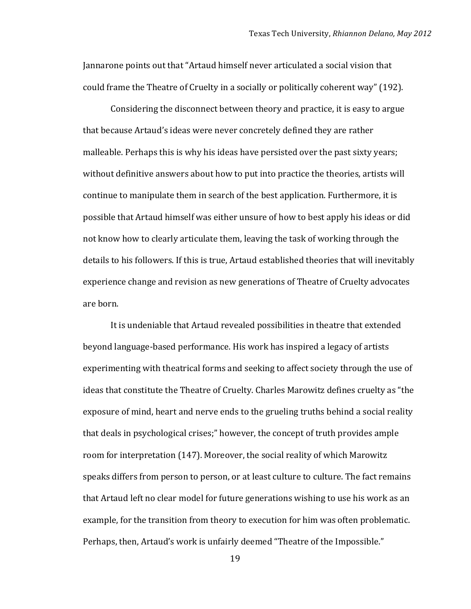Jannarone points out that "Artaud himself never articulated a social vision that could frame the Theatre of Cruelty in a socially or politically coherent way" (192).

Considering the disconnect between theory and practice, it is easy to argue that because Artaud's ideas were never concretely defined they are rather malleable. Perhaps this is why his ideas have persisted over the past sixty years; without definitive answers about how to put into practice the theories, artists will continue to manipulate them in search of the best application. Furthermore, it is possible that Artaud himself was either unsure of how to best apply his ideas or did not know how to clearly articulate them, leaving the task of working through the details to his followers. If this is true, Artaud established theories that will inevitably experience change and revision as new generations of Theatre of Cruelty advocates are born.

It is undeniable that Artaud revealed possibilities in theatre that extended beyond language-based performance. His work has inspired a legacy of artists experimenting with theatrical forms and seeking to affect society through the use of ideas that constitute the Theatre of Cruelty. Charles Marowitz defines cruelty as "the exposure of mind, heart and nerve ends to the grueling truths behind a social reality that deals in psychological crises;" however, the concept of truth provides ample room for interpretation (147). Moreover, the social reality of which Marowitz speaks differs from person to person, or at least culture to culture. The fact remains that Artaud left no clear model for future generations wishing to use his work as an example, for the transition from theory to execution for him was often problematic. Perhaps, then, Artaud's work is unfairly deemed "Theatre of the Impossible."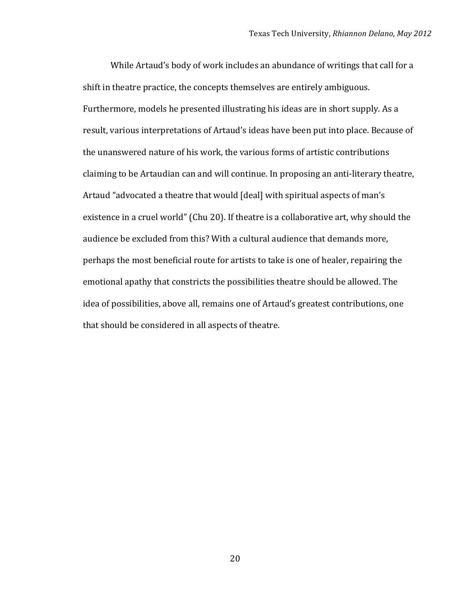While Artaud's body of work includes an abundance of writings that call for a shift in theatre practice, the concepts themselves are entirely ambiguous. Furthermore, models he presented illustrating his ideas are in short supply. As a result, various interpretations of Artaud's ideas have been put into place. Because of the unanswered nature of his work, the various forms of artistic contributions claiming to be Artaudian can and will continue. In proposing an anti-literary theatre, Artaud "advocated a theatre that would [deal] with spiritual aspects of man's existence in a cruel world" (Chu 20). If theatre is a collaborative art, why should the audience be excluded from this? With a cultural audience that demands more, perhaps the most beneficial route for artists to take is one of healer, repairing the emotional apathy that constricts the possibilities theatre should be allowed. The idea of possibilities, above all, remains one of Artaud's greatest contributions, one that should be considered in all aspects of theatre.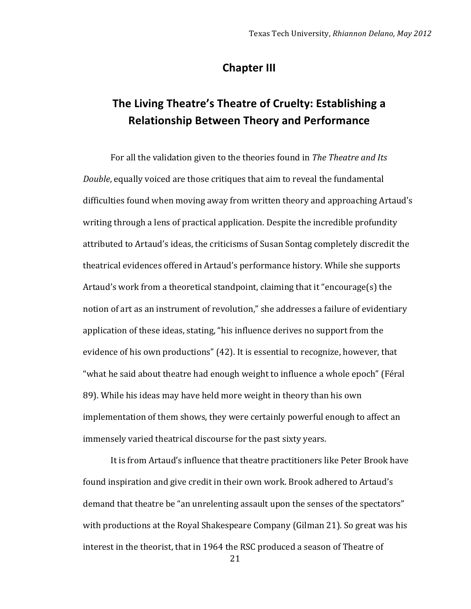#### **Chapter III**

# The Living Theatre's Theatre of Cruelty: Establishing a **Relationship Between Theory and Performance**

For all the validation given to the theories found in *The Theatre and Its Double*, equally voiced are those critiques that aim to reveal the fundamental difficulties found when moving away from written theory and approaching Artaud's writing through a lens of practical application. Despite the incredible profundity attributed to Artaud's ideas, the criticisms of Susan Sontag completely discredit the theatrical evidences offered in Artaud's performance history. While she supports Artaud's work from a theoretical standpoint, claiming that it "encourage(s) the notion of art as an instrument of revolution," she addresses a failure of evidentiary application of these ideas, stating, "his influence derives no support from the evidence of his own productions" (42). It is essential to recognize, however, that "what he said about theatre had enough weight to influence a whole epoch" (Féral 89). While his ideas may have held more weight in theory than his own implementation of them shows, they were certainly powerful enough to affect an immensely varied theatrical discourse for the past sixty years.

It is from Artaud's influence that theatre practitioners like Peter Brook have found inspiration and give credit in their own work. Brook adhered to Artaud's demand that theatre be "an unrelenting assault upon the senses of the spectators" with productions at the Royal Shakespeare Company (Gilman 21). So great was his interest in the theorist, that in 1964 the RSC produced a season of Theatre of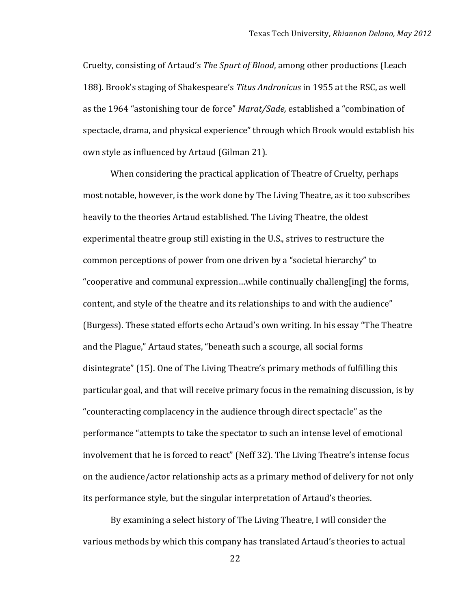Cruelty, consisting of Artaud's *The Spurt of Blood*, among other productions (Leach 188). Brook's staging of Shakespeare's *Titus Andronicus* in 1955 at the RSC, as well as the 1964 "astonishing tour de force" *Marat/Sade*, established a "combination of spectacle, drama, and physical experience" through which Brook would establish his own style as influenced by Artaud (Gilman 21).

When considering the practical application of Theatre of Cruelty, perhaps most notable, however, is the work done by The Living Theatre, as it too subscribes heavily to the theories Artaud established. The Living Theatre, the oldest experimental theatre group still existing in the U.S., strives to restructure the common perceptions of power from one driven by a "societal hierarchy" to "cooperative and communal expression...while continually challeng[ing] the forms, content, and style of the theatre and its relationships to and with the audience" (Burgess). These stated efforts echo Artaud's own writing. In his essay "The Theatre and the Plague," Artaud states, "beneath such a scourge, all social forms disintegrate" (15). One of The Living Theatre's primary methods of fulfilling this particular goal, and that will receive primary focus in the remaining discussion, is by "counteracting complacency in the audience through direct spectacle" as the performance "attempts to take the spectator to such an intense level of emotional involvement that he is forced to react" (Neff 32). The Living Theatre's intense focus on the audience/actor relationship acts as a primary method of delivery for not only its performance style, but the singular interpretation of Artaud's theories.

By examining a select history of The Living Theatre, I will consider the various methods by which this company has translated Artaud's theories to actual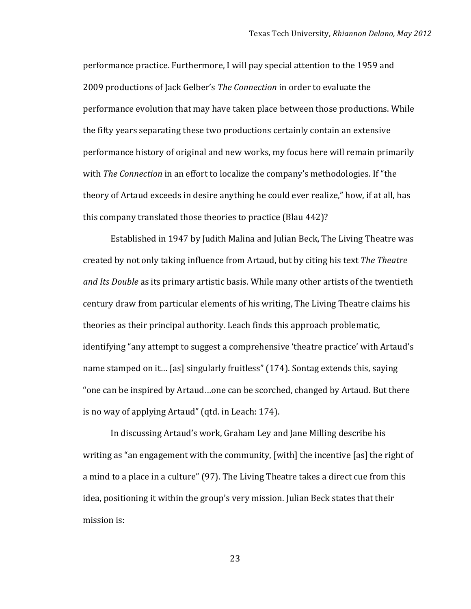performance practice. Furthermore, I will pay special attention to the 1959 and 2009 productions of Jack Gelber's *The Connection* in order to evaluate the performance evolution that may have taken place between those productions. While the fifty years separating these two productions certainly contain an extensive performance history of original and new works, my focus here will remain primarily with *The Connection* in an effort to localize the company's methodologies. If "the theory of Artaud exceeds in desire anything he could ever realize," how, if at all, has this company translated those theories to practice (Blau 442)?

Established in 1947 by Judith Malina and Julian Beck, The Living Theatre was created by not only taking influence from Artaud, but by citing his text *The Theatre and Its Double* as its primary artistic basis. While many other artists of the twentieth century draw from particular elements of his writing, The Living Theatre claims his theories as their principal authority. Leach finds this approach problematic, identifying "any attempt to suggest a comprehensive 'theatre practice' with Artaud's name stamped on it... [as] singularly fruitless" (174). Sontag extends this, saying "one can be inspired by Artaud...one can be scorched, changed by Artaud. But there is no way of applying Artaud" (qtd. in Leach: 174).

In discussing Artaud's work, Graham Ley and Jane Milling describe his writing as "an engagement with the community, [with] the incentive [as] the right of a mind to a place in a culture" (97). The Living Theatre takes a direct cue from this idea, positioning it within the group's very mission. Julian Beck states that their mission is: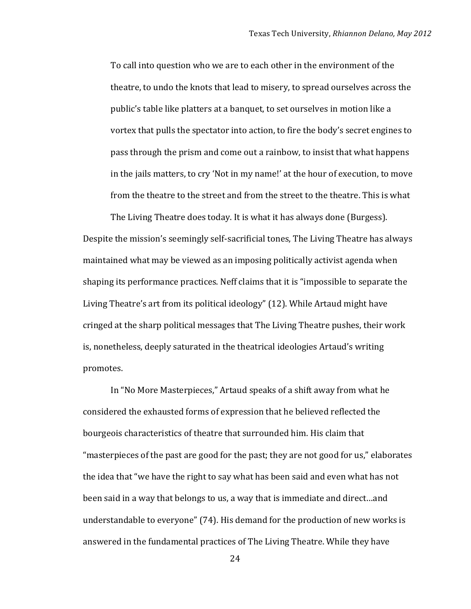To call into question who we are to each other in the environment of the theatre, to undo the knots that lead to misery, to spread ourselves across the public's table like platters at a banquet, to set ourselves in motion like a vortex that pulls the spectator into action, to fire the body's secret engines to pass through the prism and come out a rainbow, to insist that what happens in the jails matters, to cry 'Not in my name!' at the hour of execution, to move from the theatre to the street and from the street to the theatre. This is what

The Living Theatre does today. It is what it has always done (Burgess). Despite the mission's seemingly self-sacrificial tones, The Living Theatre has always maintained what may be viewed as an imposing politically activist agenda when shaping its performance practices. Neff claims that it is "impossible to separate the Living Theatre's art from its political ideology" (12). While Artaud might have cringed at the sharp political messages that The Living Theatre pushes, their work is, nonetheless, deeply saturated in the theatrical ideologies Artaud's writing promotes.

In "No More Masterpieces," Artaud speaks of a shift away from what he considered the exhausted forms of expression that he believed reflected the bourgeois characteristics of theatre that surrounded him. His claim that "masterpieces of the past are good for the past; they are not good for us," elaborates the idea that "we have the right to say what has been said and even what has not been said in a way that belongs to us, a way that is immediate and direct...and understandable to everyone" (74). His demand for the production of new works is answered in the fundamental practices of The Living Theatre. While they have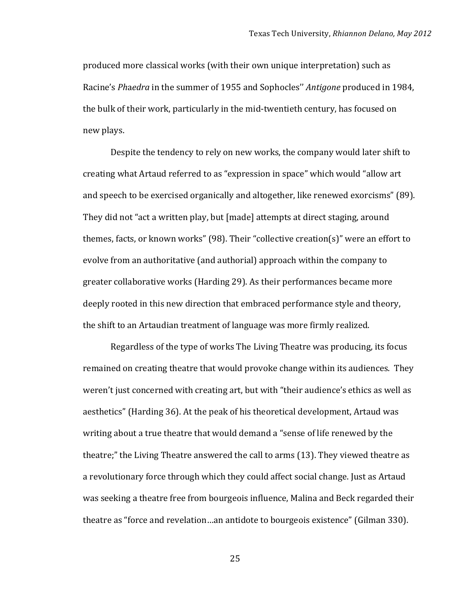produced more classical works (with their own unique interpretation) such as Racine's *Phaedra* in the summer of 1955 and Sophocles" *Antigone* produced in 1984, the bulk of their work, particularly in the mid-twentieth century, has focused on new plays.

Despite the tendency to rely on new works, the company would later shift to creating what Artaud referred to as "expression in space" which would "allow art and speech to be exercised organically and altogether, like renewed exorcisms" (89). They did not "act a written play, but [made] attempts at direct staging, around themes, facts, or known works" (98). Their "collective creation(s)" were an effort to evolve from an authoritative (and authorial) approach within the company to  $\overline{a}$ greater collaborative works (Harding 29). As their performances became more deeply rooted in this new direction that embraced performance style and theory, the shift to an Artaudian treatment of language was more firmly realized.

Regardless of the type of works The Living Theatre was producing, its focus remained on creating theatre that would provoke change within its audiences. They weren't just concerned with creating art, but with "their audience's ethics as well as aesthetics" (Harding 36). At the peak of his theoretical development, Artaud was writing about a true theatre that would demand a "sense of life renewed by the theatre;" the Living Theatre answered the call to arms (13). They viewed theatre as a revolutionary force through which they could affect social change. Just as Artaud was seeking a theatre free from bourgeois influence, Malina and Beck regarded their theatre as "force and revelation...an antidote to bourgeois existence" (Gilman 330).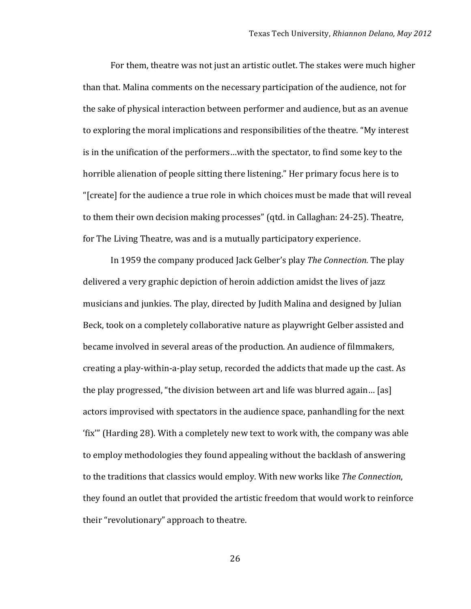For them, theatre was not just an artistic outlet. The stakes were much higher than that. Malina comments on the necessary participation of the audience, not for the sake of physical interaction between performer and audience, but as an avenue to exploring the moral implications and responsibilities of the theatre. "My interest" is in the unification of the performers...with the spectator, to find some key to the horrible alienation of people sitting there listening." Her primary focus here is to "[create] for the audience a true role in which choices must be made that will reveal to them their own decision making processes" (qtd. in Callaghan: 24-25). Theatre, for The Living Theatre, was and is a mutually participatory experience.

In 1959 the company produced Jack Gelber's play *The Connection*. The play delivered a very graphic depiction of heroin addiction amidst the lives of jazz musicians and junkies. The play, directed by Judith Malina and designed by Julian Beck, took on a completely collaborative nature as playwright Gelber assisted and became involved in several areas of the production. An audience of filmmakers, creating a play-within-a-play setup, recorded the addicts that made up the cast. As the play progressed, "the division between art and life was blurred again... [as] actors improvised with spectators in the audience space, panhandling for the next 'fix'" (Harding 28). With a completely new text to work with, the company was able to employ methodologies they found appealing without the backlash of answering to the traditions that classics would employ. With new works like *The Connection*, they found an outlet that provided the artistic freedom that would work to reinforce their "revolutionary" approach to theatre.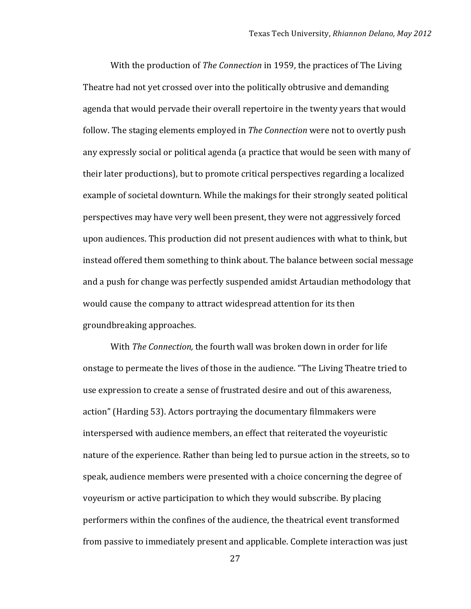With the production of *The Connection* in 1959, the practices of The Living Theatre had not yet crossed over into the politically obtrusive and demanding agenda that would pervade their overall repertoire in the twenty years that would follow. The staging elements employed in *The Connection* were not to overtly push any expressly social or political agenda (a practice that would be seen with many of their later productions), but to promote critical perspectives regarding a localized example of societal downturn. While the makings for their strongly seated political perspectives may have very well been present, they were not aggressively forced upon audiences. This production did not present audiences with what to think, but instead offered them something to think about. The balance between social message and a push for change was perfectly suspended amidst Artaudian methodology that would cause the company to attract widespread attention for its then groundbreaking approaches.

With *The Connection*, the fourth wall was broken down in order for life onstage to permeate the lives of those in the audience. "The Living Theatre tried to use expression to create a sense of frustrated desire and out of this awareness, action" (Harding 53). Actors portraying the documentary filmmakers were interspersed with audience members, an effect that reiterated the voyeuristic nature of the experience. Rather than being led to pursue action in the streets, so to speak, audience members were presented with a choice concerning the degree of voyeurism or active participation to which they would subscribe. By placing performers within the confines of the audience, the theatrical event transformed from passive to immediately present and applicable. Complete interaction was just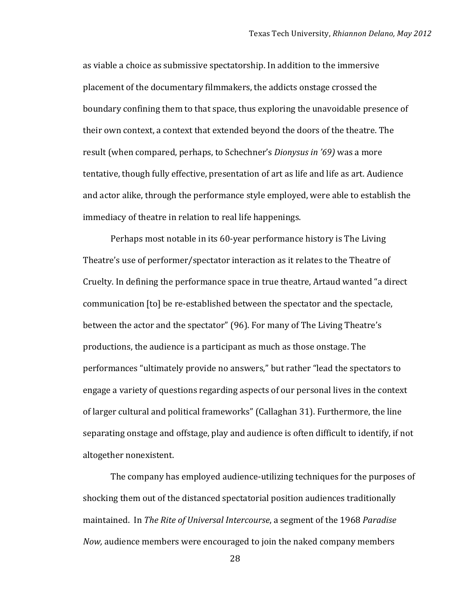as viable a choice as submissive spectatorship. In addition to the immersive placement of the documentary filmmakers, the addicts onstage crossed the boundary confining them to that space, thus exploring the unavoidable presence of their own context, a context that extended beyond the doors of the theatre. The result (when compared, perhaps, to Schechner's *Dionysus in '69*) was a more tentative, though fully effective, presentation of art as life and life as art. Audience and actor alike, through the performance style employed, were able to establish the immediacy of theatre in relation to real life happenings.

Perhaps most notable in its 60-year performance history is The Living Theatre's use of performer/spectator interaction as it relates to the Theatre of Cruelty. In defining the performance space in true theatre, Artaud wanted "a direct" communication [to] be re-established between the spectator and the spectacle, between the actor and the spectator" (96). For many of The Living Theatre's productions, the audience is a participant as much as those onstage. The performances "ultimately provide no answers," but rather "lead the spectators to engage a variety of questions regarding aspects of our personal lives in the context of larger cultural and political frameworks" (Callaghan 31). Furthermore, the line separating onstage and offstage, play and audience is often difficult to identify, if not altogether nonexistent.

The company has employed audience-utilizing techniques for the purposes of shocking them out of the distanced spectatorial position audiences traditionally maintained. In *The Rite of Universal Intercourse*, a segment of the 1968 *Paradise Now*, audience members were encouraged to join the naked company members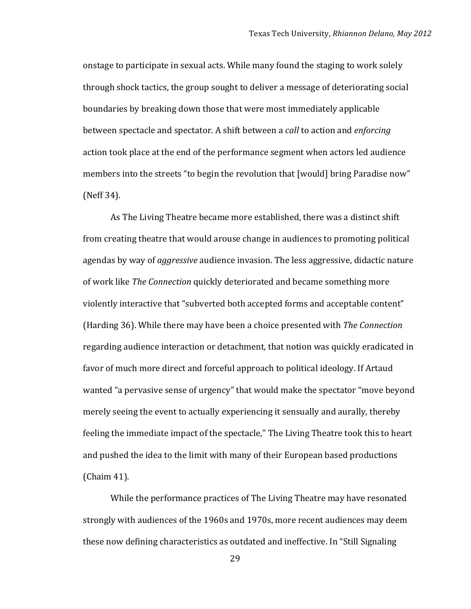onstage to participate in sexual acts. While many found the staging to work solely through shock tactics, the group sought to deliver a message of deteriorating social boundaries by breaking down those that were most immediately applicable between spectacle and spectator. A shift between a *call* to action and *enforcing* action took place at the end of the performance segment when actors led audience members into the streets "to begin the revolution that [would] bring Paradise now" (Neff 34).

As The Living Theatre became more established, there was a distinct shift from creating theatre that would arouse change in audiences to promoting political agendas by way of *aggressive* audience invasion. The less aggressive, didactic nature of work like *The Connection* quickly deteriorated and became something more violently interactive that "subverted both accepted forms and acceptable content" (Harding 36). While there may have been a choice presented with *The Connection* regarding audience interaction or detachment, that notion was quickly eradicated in favor of much more direct and forceful approach to political ideology. If Artaud wanted "a pervasive sense of urgency" that would make the spectator "move beyond merely seeing the event to actually experiencing it sensually and aurally, thereby feeling the immediate impact of the spectacle," The Living Theatre took this to heart and pushed the idea to the limit with many of their European based productions  $(Chain 41).$ 

While the performance practices of The Living Theatre may have resonated strongly with audiences of the 1960s and 1970s, more recent audiences may deem these now defining characteristics as outdated and ineffective. In "Still Signaling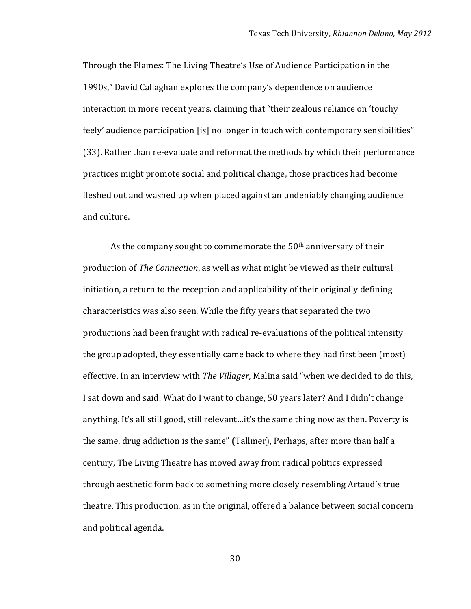Through the Flames: The Living Theatre's Use of Audience Participation in the 1990s," David Callaghan explores the company's dependence on audience interaction in more recent years, claiming that "their zealous reliance on 'touchy" feely' audience participation [is] no longer in touch with contemporary sensibilities" (33). Rather than re-evaluate and reformat the methods by which their performance practices might promote social and political change, those practices had become fleshed out and washed up when placed against an undeniably changing audience and culture.

As the company sought to commemorate the 50<sup>th</sup> anniversary of their production of *The Connection*, as well as what might be viewed as their cultural initiation, a return to the reception and applicability of their originally defining characteristics was also seen. While the fifty years that separated the two productions had been fraught with radical re-evaluations of the political intensity the group adopted, they essentially came back to where they had first been (most) effective. In an interview with *The Villager*, Malina said "when we decided to do this, I sat down and said: What do I want to change, 50 years later? And I didn't change anything. It's all still good, still relevant...it's the same thing now as then. Poverty is the same, drug addiction is the same" **(Tallmer)**, Perhaps, after more than half a century, The Living Theatre has moved away from radical politics expressed through aesthetic form back to something more closely resembling Artaud's true theatre. This production, as in the original, offered a balance between social concern and political agenda.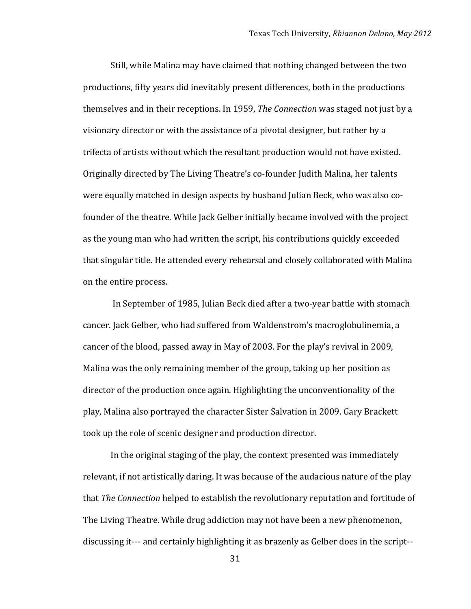Still, while Malina may have claimed that nothing changed between the two productions, fifty years did inevitably present differences, both in the productions themselves and in their receptions. In 1959, *The Connection* was staged not just by a visionary director or with the assistance of a pivotal designer, but rather by a trifecta of artists without which the resultant production would not have existed. Originally directed by The Living Theatre's co-founder Judith Malina, her talents were equally matched in design aspects by husband Julian Beck, who was also cofounder of the theatre. While Jack Gelber initially became involved with the project as the young man who had written the script, his contributions quickly exceeded that singular title. He attended every rehearsal and closely collaborated with Malina on the entire process.

In September of 1985, Julian Beck died after a two-year battle with stomach cancer. Jack Gelber, who had suffered from Waldenstrom's macroglobulinemia, a cancer of the blood, passed away in May of 2003. For the play's revival in 2009, Malina was the only remaining member of the group, taking up her position as director of the production once again. Highlighting the unconventionality of the play, Malina also portrayed the character Sister Salvation in 2009. Gary Brackett took up the role of scenic designer and production director.

In the original staging of the play, the context presented was immediately relevant, if not artistically daring. It was because of the audacious nature of the play that *The Connection* helped to establish the revolutionary reputation and fortitude of The Living Theatre. While drug addiction may not have been a new phenomenon, discussing it--- and certainly highlighting it as brazenly as Gelber does in the script--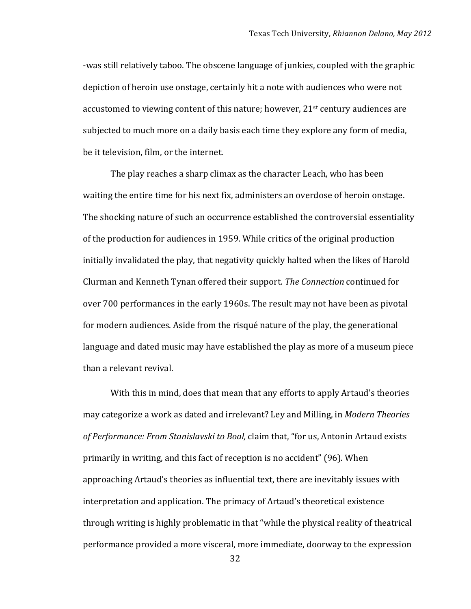-was still relatively taboo. The obscene language of junkies, coupled with the graphic depiction of heroin use onstage, certainly hit a note with audiences who were not accustomed to viewing content of this nature; however,  $21<sup>st</sup>$  century audiences are subjected to much more on a daily basis each time they explore any form of media, be it television, film, or the internet.

The play reaches a sharp climax as the character Leach, who has been waiting the entire time for his next fix, administers an overdose of heroin onstage. The shocking nature of such an occurrence established the controversial essentiality of the production for audiences in 1959. While critics of the original production initially invalidated the play, that negativity quickly halted when the likes of Harold Clurman!and!Kenneth!Tynan!offered!their!support.!*The'Connection* continued!for over 700 performances in the early 1960s. The result may not have been as pivotal for modern audiences. Aside from the risqué nature of the play, the generational language and dated music may have established the play as more of a museum piece than a relevant revival.

With this in mind, does that mean that any efforts to apply Artaud's theories may categorize a work as dated and irrelevant? Ley and Milling, in *Modern Theories* of Performance: From Stanislavski to Boal, claim that, "for us, Antonin Artaud exists primarily in writing, and this fact of reception is no accident" (96). When approaching Artaud's theories as influential text, there are inevitably issues with interpretation and application. The primacy of Artaud's theoretical existence through writing is highly problematic in that "while the physical reality of theatrical performance provided a more visceral, more immediate, doorway to the expression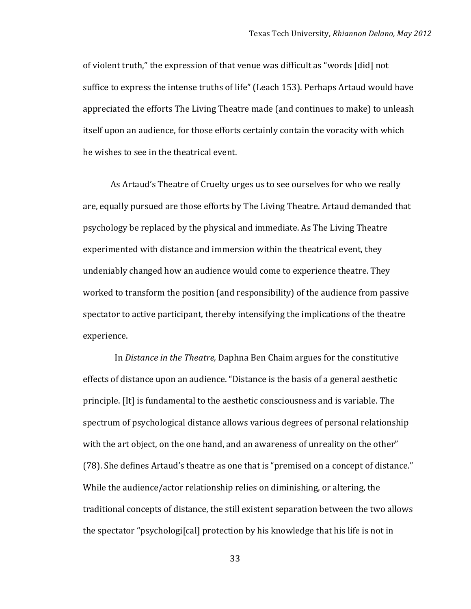of violent truth," the expression of that venue was difficult as "words [did] not suffice to express the intense truths of life" (Leach 153). Perhaps Artaud would have appreciated the efforts The Living Theatre made (and continues to make) to unleash itself upon an audience, for those efforts certainly contain the voracity with which he wishes to see in the theatrical event.

As Artaud's Theatre of Cruelty urges us to see ourselves for who we really are, equally pursued are those efforts by The Living Theatre. Artaud demanded that psychology be replaced by the physical and immediate. As The Living Theatre experimented with distance and immersion within the theatrical event, they undeniably changed how an audience would come to experience theatre. They worked to transform the position (and responsibility) of the audience from passive spectator to active participant, thereby intensifying the implications of the theatre experience.

In *Distance in the Theatre, Daphna Ben Chaim argues for the constitutive* effects of distance upon an audience. "Distance is the basis of a general aesthetic principle. [It] is fundamental to the aesthetic consciousness and is variable. The spectrum of psychological distance allows various degrees of personal relationship with the art object, on the one hand, and an awareness of unreality on the other" (78). She defines Artaud's theatre as one that is "premised on a concept of distance." While the audience/actor relationship relies on diminishing, or altering, the traditional concepts of distance, the still existent separation between the two allows the spectator "psychologi[cal] protection by his knowledge that his life is not in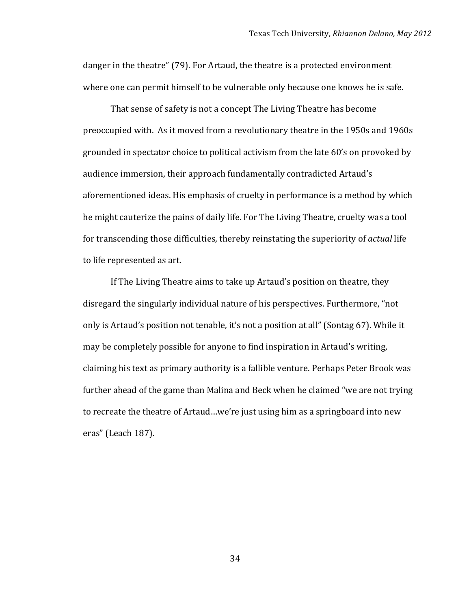danger in the theatre" (79). For Artaud, the theatre is a protected environment where one can permit himself to be vulnerable only because one knows he is safe.

That sense of safety is not a concept The Living Theatre has become preoccupied with. As it moved from a revolutionary theatre in the 1950s and 1960s grounded in spectator choice to political activism from the late 60's on provoked by audience immersion, their approach fundamentally contradicted Artaud's aforementioned ideas. His emphasis of cruelty in performance is a method by which he might cauterize the pains of daily life. For The Living Theatre, cruelty was a tool for transcending those difficulties, thereby reinstating the superiority of *actual* life to life represented as art.

If The Living Theatre aims to take up Artaud's position on theatre, they disregard the singularly individual nature of his perspectives. Furthermore, "not only is Artaud's position not tenable, it's not a position at all" (Sontag 67). While it may be completely possible for anyone to find inspiration in Artaud's writing, claiming his text as primary authority is a fallible venture. Perhaps Peter Brook was further ahead of the game than Malina and Beck when he claimed "we are not trying to recreate the theatre of Artaud…we're just using him as a springboard into new eras" (Leach 187).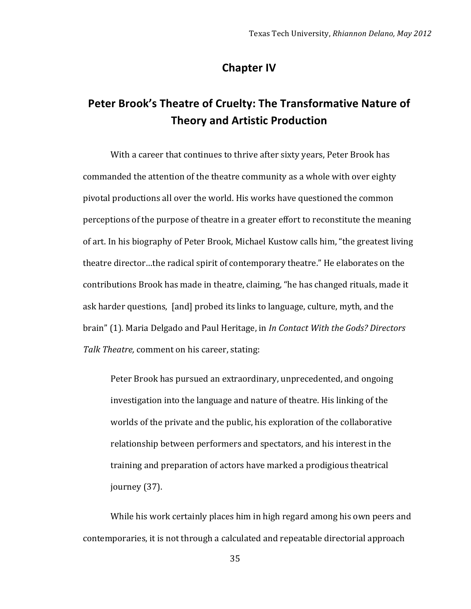#### **Chapter IV**

# Peter Brook's Theatre of Cruelty: The Transformative Nature of **Theory and Artistic Production**

With a career that continues to thrive after sixty years, Peter Brook has commanded the attention of the theatre community as a whole with over eighty pivotal productions all over the world. His works have questioned the common perceptions of the purpose of theatre in a greater effort to reconstitute the meaning of art. In his biography of Peter Brook, Michael Kustow calls him, "the greatest living theatre director...the radical spirit of contemporary theatre." He elaborates on the contributions Brook has made in theatre, claiming, "he has changed rituals, made it ask harder questions, [and] probed its links to language, culture, myth, and the brain" (1). Maria Delgado and Paul Heritage, in *In Contact With the Gods? Directors* Talk Theatre, comment on his career, stating:

Peter Brook has pursued an extraordinary, unprecedented, and ongoing investigation into the language and nature of theatre. His linking of the worlds of the private and the public, his exploration of the collaborative relationship between performers and spectators, and his interest in the training and preparation of actors have marked a prodigious theatrical journey  $(37)$ .

While his work certainly places him in high regard among his own peers and contemporaries, it is not through a calculated and repeatable directorial approach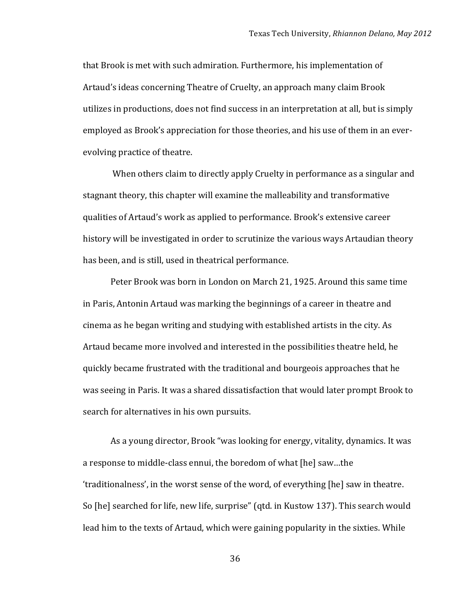that Brook is met with such admiration. Furthermore, his implementation of Artaud's ideas concerning Theatre of Cruelty, an approach many claim Brook utilizes in productions, does not find success in an interpretation at all, but is simply employed as Brook's appreciation for those theories, and his use of them in an everevolving practice of theatre.

When others claim to directly apply Cruelty in performance as a singular and stagnant theory, this chapter will examine the malleability and transformative qualities of Artaud's work as applied to performance. Brook's extensive career history will be investigated in order to scrutinize the various ways Artaudian theory has been, and is still, used in theatrical performance.

Peter Brook was born in London on March 21, 1925. Around this same time in Paris, Antonin Artaud was marking the beginnings of a career in theatre and cinema as he began writing and studying with established artists in the city. As Artaud became more involved and interested in the possibilities theatre held, he quickly became frustrated with the traditional and bourgeois approaches that he was seeing in Paris. It was a shared dissatisfaction that would later prompt Brook to search for alternatives in his own pursuits.

As a young director, Brook "was looking for energy, vitality, dynamics. It was a response to middle-class ennui, the boredom of what [he] saw...the 'traditionalness', in the worst sense of the word, of everything  $[he]$  saw in theatre. So [he] searched for life, new life, surprise" (qtd. in Kustow 137). This search would lead him to the texts of Artaud, which were gaining popularity in the sixties. While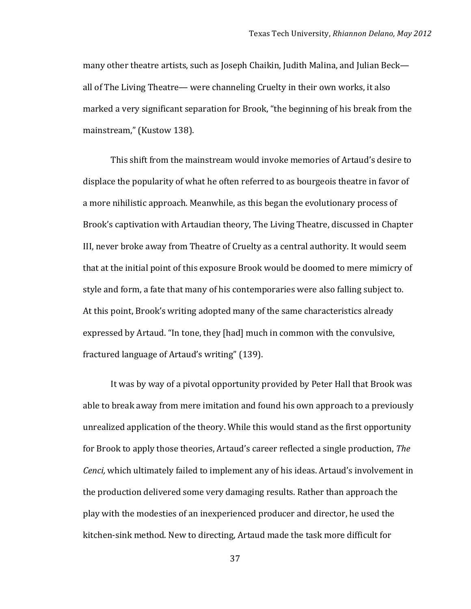many other theatre artists, such as Joseph Chaikin, Judith Malina, and Julian Beck all of The Living Theatre— were channeling Cruelty in their own works, it also marked a very significant separation for Brook, "the beginning of his break from the mainstream," (Kustow 138).

This shift from the mainstream would invoke memories of Artaud's desire to displace the popularity of what he often referred to as bourgeois theatre in favor of a more nihilistic approach. Meanwhile, as this began the evolutionary process of Brook's captivation with Artaudian theory, The Living Theatre, discussed in Chapter III, never broke away from Theatre of Cruelty as a central authority. It would seem that at the initial point of this exposure Brook would be doomed to mere mimicry of style and form, a fate that many of his contemporaries were also falling subject to. At this point, Brook's writing adopted many of the same characteristics already expressed by Artaud. "In tone, they [had] much in common with the convulsive, fractured language of Artaud's writing" (139).

It was by way of a pivotal opportunity provided by Peter Hall that Brook was able to break away from mere imitation and found his own approach to a previously unrealized application of the theory. While this would stand as the first opportunity for Brook to apply those theories, Artaud's career reflected a single production, *The Cenci,* which ultimately failed to implement any of his ideas. Artaud's involvement in the production delivered some very damaging results. Rather than approach the play with the modesties of an inexperienced producer and director, he used the kitchen-sink method. New to directing, Artaud made the task more difficult for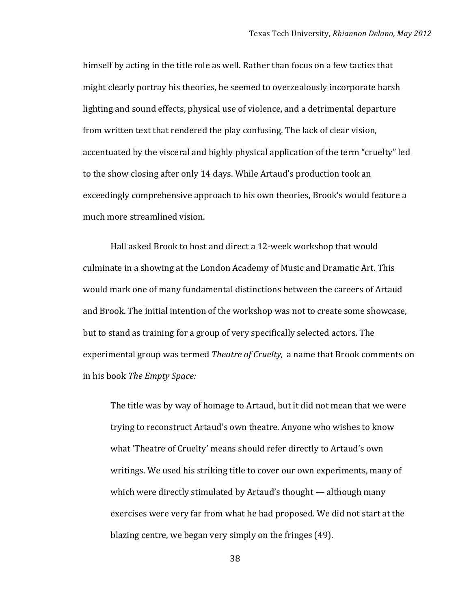himself by acting in the title role as well. Rather than focus on a few tactics that might clearly portray his theories, he seemed to overzealously incorporate harsh lighting and sound effects, physical use of violence, and a detrimental departure from written text that rendered the play confusing. The lack of clear vision, accentuated by the visceral and highly physical application of the term "cruelty" led to the show closing after only 14 days. While Artaud's production took an exceedingly comprehensive approach to his own theories, Brook's would feature a much more streamlined vision.

Hall asked Brook to host and direct a 12-week workshop that would culminate in a showing at the London Academy of Music and Dramatic Art. This would mark one of many fundamental distinctions between the careers of Artaud and Brook. The initial intention of the workshop was not to create some showcase, but to stand as training for a group of very specifically selected actors. The experimental group was termed *Theatre of Cruelty*, a name that Brook comments on in!his!book!*The'Empty'Space:'*

The title was by way of homage to Artaud, but it did not mean that we were trying to reconstruct Artaud's own theatre. Anyone who wishes to know what 'Theatre of Cruelty' means should refer directly to Artaud's own writings. We used his striking title to cover our own experiments, many of which were directly stimulated by Artaud's thought — although many exercises were very far from what he had proposed. We did not start at the blazing centre, we began very simply on the fringes (49).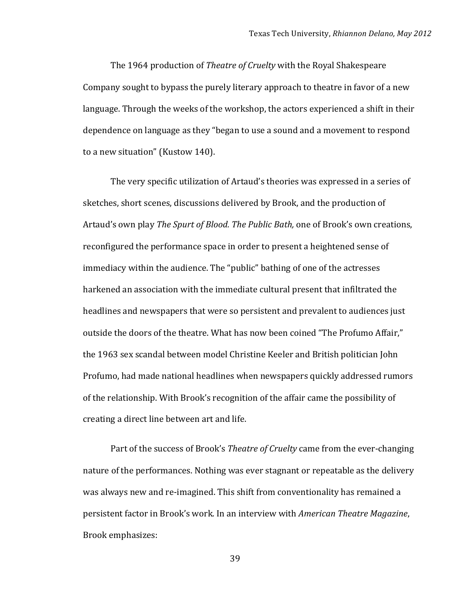The 1964 production of *Theatre of Cruelty* with the Royal Shakespeare Company sought to bypass the purely literary approach to theatre in favor of a new language. Through the weeks of the workshop, the actors experienced a shift in their dependence on language as they "began to use a sound and a movement to respond to a new situation" (Kustow 140).

The very specific utilization of Artaud's theories was expressed in a series of sketches, short scenes, discussions delivered by Brook, and the production of Artaud's own play *The Spurt of Blood. The Public Bath*, one of Brook's own creations, reconfigured the performance space in order to present a heightened sense of immediacy within the audience. The "public" bathing of one of the actresses harkened an association with the immediate cultural present that infiltrated the headlines and newspapers that were so persistent and prevalent to audiences just ! outside the doors of the theatre. What has now been coined "The Profumo Affair," the 1963 sex scandal between model Christine Keeler and British politician John Profumo, had made national headlines when newspapers quickly addressed rumors of the relationship. With Brook's recognition of the affair came the possibility of creating a direct line between art and life.

Part of the success of Brook's *Theatre of Cruelty* came from the ever-changing nature of the performances. Nothing was ever stagnant or repeatable as the delivery was always new and re-imagined. This shift from conventionality has remained a persistent factor in Brook's work. In an interview with *American Theatre Magazine*, Brook emphasizes: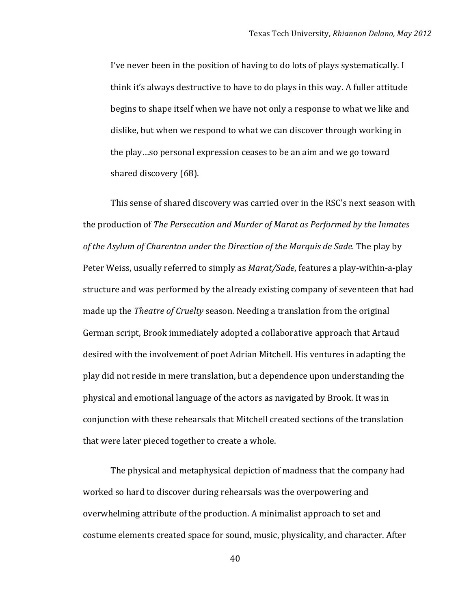I've never been in the position of having to do lots of plays systematically. I think it's always destructive to have to do plays in this way. A fuller attitude begins to shape itself when we have not only a response to what we like and dislike, but when we respond to what we can discover through working in the play…so personal expression ceases to be an aim and we go toward shared discovery (68).

This sense of shared discovery was carried over in the RSC's next season with the!production!of!*The'Persecution'and'Murder'of'Marat'as'Performed'by'the'Inmates'* of the Asylum of Charenton under the Direction of the Marquis de Sade. The play by Peter Weiss, usually referred to simply as *Marat/Sade*, features a play-within-a-play structure and was performed by the already existing company of seventeen that had made up the *Theatre of Cruelty* season. Needing a translation from the original German script, Brook immediately adopted a collaborative approach that Artaud desired with the involvement of poet Adrian Mitchell. His ventures in adapting the play did not reside in mere translation, but a dependence upon understanding the physical and emotional language of the actors as navigated by Brook. It was in conjunction with these rehearsals that Mitchell created sections of the translation that were later pieced together to create a whole.

The physical and metaphysical depiction of madness that the company had worked so hard to discover during rehearsals was the overpowering and overwhelming attribute of the production. A minimalist approach to set and costume elements created space for sound, music, physicality, and character. After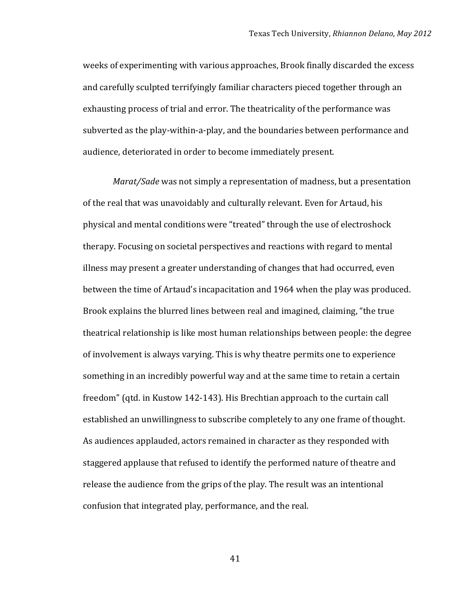weeks of experimenting with various approaches, Brook finally discarded the excess and carefully sculpted terrifyingly familiar characters pieced together through an exhausting process of trial and error. The theatricality of the performance was subverted as the play-within-a-play, and the boundaries between performance and audience, deteriorated in order to become immediately present.

*Marat/Sade* was not simply a representation of madness, but a presentation of the real that was unavoidably and culturally relevant. Even for Artaud, his physical and mental conditions were "treated" through the use of electroshock therapy. Focusing on societal perspectives and reactions with regard to mental illness may present a greater understanding of changes that had occurred, even between the time of Artaud's incapacitation and 1964 when the play was produced. Brook explains the blurred lines between real and imagined, claiming, "the true theatrical relationship is like most human relationships between people: the degree of involvement is always varying. This is why theatre permits one to experience something in an incredibly powerful way and at the same time to retain a certain freedom" (qtd. in Kustow 142-143). His Brechtian approach to the curtain call established an unwillingness to subscribe completely to any one frame of thought. As audiences applauded, actors remained in character as they responded with staggered applause that refused to identify the performed nature of theatre and release the audience from the grips of the play. The result was an intentional confusion that integrated play, performance, and the real.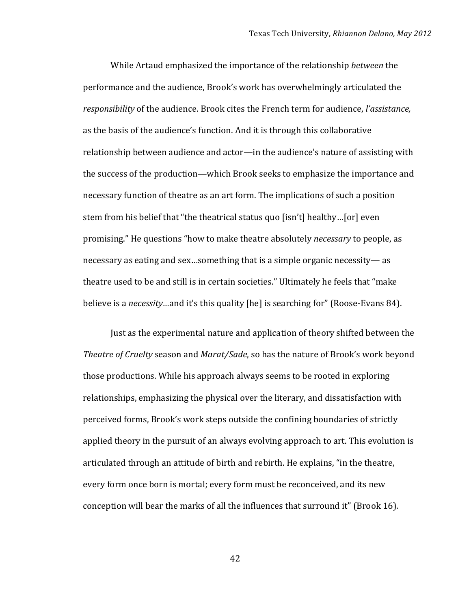While Artaud emphasized the importance of the relationship *between* the performance and the audience, Brook's work has overwhelmingly articulated the *responsibility* of the audience. Brook cites the French term for audience, *l'assistance*, as the basis of the audience's function. And it is through this collaborative relationship between audience and actor—in the audience's nature of assisting with the success of the production—which Brook seeks to emphasize the importance and necessary function of theatre as an art form. The implications of such a position stem from his belief that "the theatrical status quo [isn't] healthy...[or] even promising." He questions "how to make theatre absolutely *necessary* to people, as necessary as eating and sex...something that is a simple organic necessity— as theatre used to be and still is in certain societies." Ultimately he feels that "make" believe is a *necessity*…and it's this quality [he] is searching for" (Roose-Evans 84).

Just as the experimental nature and application of theory shifted between the *Theatre of Cruelty* season and *Marat/Sade*, so has the nature of Brook's work beyond those productions. While his approach always seems to be rooted in exploring relationships, emphasizing the physical over the literary, and dissatisfaction with perceived forms, Brook's work steps outside the confining boundaries of strictly applied theory in the pursuit of an always evolving approach to art. This evolution is articulated through an attitude of birth and rebirth. He explains, "in the theatre, every form once born is mortal; every form must be reconceived, and its new conception will bear the marks of all the influences that surround it" (Brook 16).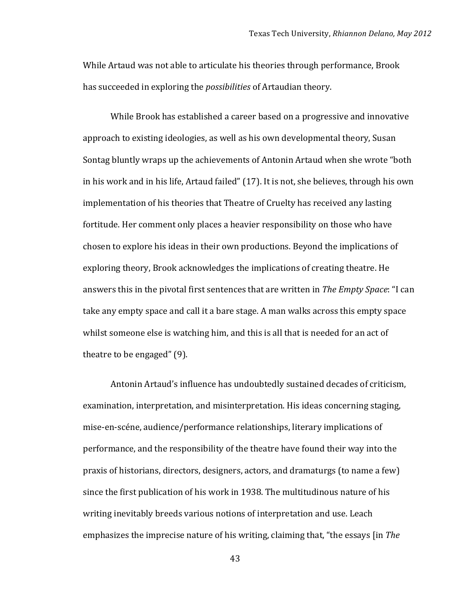While Artaud was not able to articulate his theories through performance, Brook has succeeded in exploring the *possibilities* of Artaudian theory.

While Brook has established a career based on a progressive and innovative approach to existing ideologies, as well as his own developmental theory, Susan Sontag bluntly wraps up the achievements of Antonin Artaud when she wrote "both in his work and in his life, Artaud failed" (17). It is not, she believes, through his own implementation of his theories that Theatre of Cruelty has received any lasting fortitude. Her comment only places a heavier responsibility on those who have chosen to explore his ideas in their own productions. Beyond the implications of exploring theory, Brook acknowledges the implications of creating theatre. He answers this in the pivotal first sentences that are written in *The Empty Space*: "I can take any empty space and call it a bare stage. A man walks across this empty space whilst someone else is watching him, and this is all that is needed for an act of theatre to be engaged"  $(9)$ .

Antonin Artaud's influence has undoubtedly sustained decades of criticism, examination, interpretation, and misinterpretation. His ideas concerning staging, mise-en-scéne, audience/performance relationships, literary implications of performance, and the responsibility of the theatre have found their way into the praxis of historians, directors, designers, actors, and dramaturgs (to name a few) since the first publication of his work in 1938. The multitudinous nature of his writing inevitably breeds various notions of interpretation and use. Leach emphasizes the imprecise nature of his writing, claiming that, "the essays [in *The*]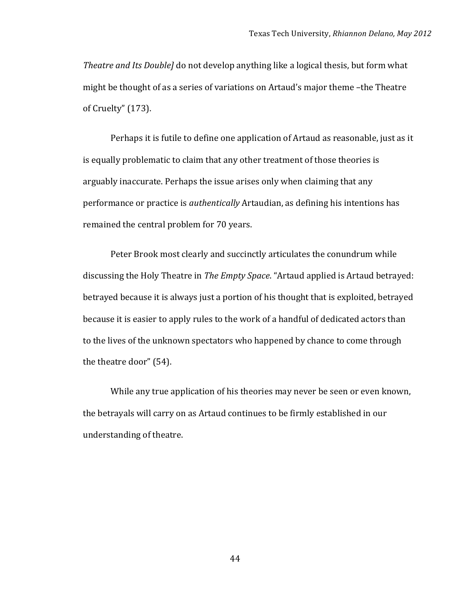*Theatre and Its Double]* do not develop anything like a logical thesis, but form what might be thought of as a series of variations on Artaud's major theme –the Theatre of Cruelty" (173).

Perhaps it is futile to define one application of Artaud as reasonable, just as it is equally problematic to claim that any other treatment of those theories is arguably inaccurate. Perhaps the issue arises only when claiming that any performance or practice is *authentically* Artaudian, as defining his intentions has remained the central problem for 70 years.

Peter Brook most clearly and succinctly articulates the conundrum while discussing the Holy Theatre in *The Empty Space*. "Artaud applied is Artaud betrayed: betrayed because it is always just a portion of his thought that is exploited, betrayed because it is easier to apply rules to the work of a handful of dedicated actors than to the lives of the unknown spectators who happened by chance to come through the theatre door" (54).

While any true application of his theories may never be seen or even known, the betrayals will carry on as Artaud continues to be firmly established in our understanding of theatre.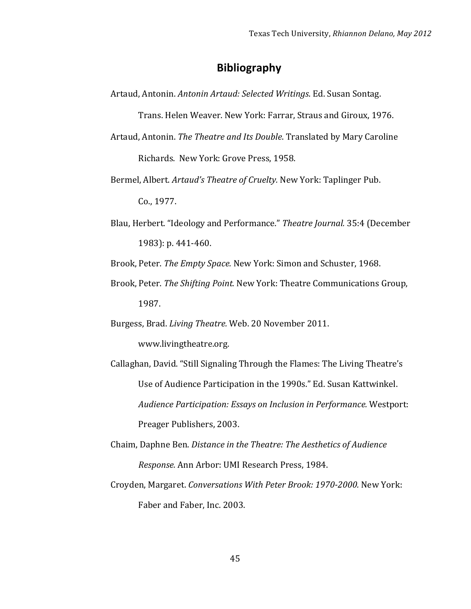### **Bibliography**

Artaud, Antonin. *Antonin Artaud: Selected Writings*. Ed. Susan Sontag.

Trans. Helen Weaver. New York: Farrar, Straus and Giroux, 1976.

- Artaud, Antonin. *The Theatre and Its Double*. Translated by Mary Caroline Richards. New York: Grove Press, 1958.
- Bermel, Albert. *Artaud's Theatre of Cruelty*. New York: Taplinger Pub. Co., 1977.
- Blau, Herbert. "Ideology and Performance." Theatre Journal. 35:4 (December 1983): p. 441-460.

Brook, Peter. *The Empty Space.* New York: Simon and Schuster, 1968.

Brook, Peter. *The Shifting Point.* New York: Theatre Communications Group, 1987.

Burgess, Brad. *Living Theatre.* Web. 20 November 2011.

www.livingtheatre.org.

- Callaghan, David. "Still Signaling Through the Flames: The Living Theatre's Use of Audience Participation in the 1990s." Ed. Susan Kattwinkel. Audience Participation: Essays on Inclusion in Performance. Westport: Preager Publishers, 2003.
- Chaim,!Daphne!Ben.!*Distance'in'the'Theatre:'The'Aesthetics'of'Audience'' Response.* Ann Arbor: UMI Research Press, 1984.
- Croyden, Margaret. Conversations With Peter Brook: 1970-2000. New York: Faber and Faber, Inc. 2003.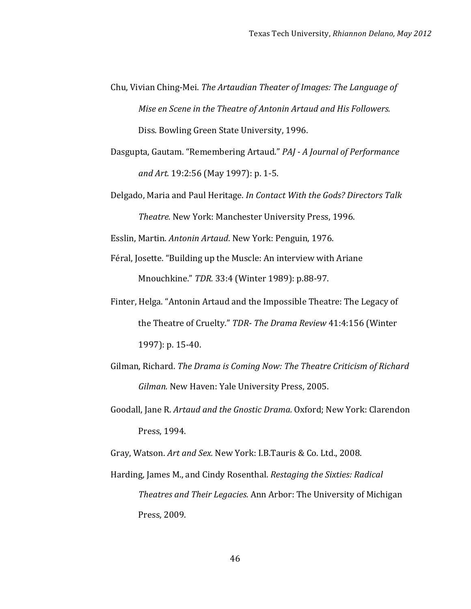- Chu, Vivian Ching-Mei. *The Artaudian Theater of Images: The Language of Mise en Scene in the Theatre of Antonin Artaud and His Followers.* Diss. Bowling Green State University, 1996.
- Dasgupta,!Gautam.!"Remembering!Artaud."!*PAJ'` A'Journal'of'Performance'' and Art.* 19:2:56 (May 1997): p. 1-5.
- Delgado, Maria and Paul Heritage. *In Contact With the Gods? Directors Talk* **Theatre. New York: Manchester University Press, 1996.**

Esslin, Martin. Antonin Artaud. New York: Penguin, 1976.

- Féral, Josette. "Building up the Muscle: An interview with Ariane Mnouchkine." *TDR.* 33:4 (Winter 1989): p.88-97.
- Finter, Helga. "Antonin Artaud and the Impossible Theatre: The Legacy of the Theatre of Cruelty." *TDR-The Drama Review* 41:4:156 (Winter 1997): p. 15-40.
- Gilman, Richard. *The Drama is Coming Now: The Theatre Criticism of Richard Gilman.* New Haven: Yale University Press, 2005.
- Goodall, Jane R. *Artaud and the Gnostic Drama*. Oxford; New York: Clarendon Press, 1994.

Gray, Watson. *Art and Sex. New York: I.B.Tauris & Co. Ltd., 2008.* 

Harding, James M., and Cindy Rosenthal. *Restaging the Sixties: Radical Theatres and Their Legacies.* Ann Arbor: The University of Michigan Press, 2009.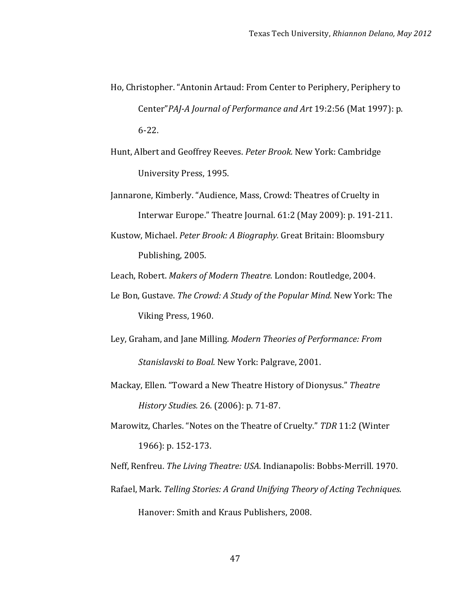- Ho, Christopher. "Antonin Artaud: From Center to Periphery, Periphery to Center"PAJ-A Journal of Performance and Art 19:2:56 (Mat 1997): p.  $6 - 22.$
- Hunt, Albert and Geoffrey Reeves. Peter Brook. New York: Cambridge University Press, 1995.
- Jannarone, Kimberly. "Audience, Mass, Crowd: Theatres of Cruelty in Interwar Europe." Theatre Journal. 61:2 (May 2009): p. 191-211.
- Kustow, Michael. *Peter Brook: A Biography.* Great Britain: Bloomsbury Publishing, 2005.

Leach, Robert. *Makers of Modern Theatre.* London: Routledge, 2004.

- Le Bon, Gustave. The Crowd: A Study of the Popular Mind. New York: The Viking Press, 1960.
- Ley, Graham, and Jane Milling. *Modern Theories of Performance: From Stanislavski to Boal. New York: Palgrave, 2001.*
- Mackay, Ellen. "Toward a New Theatre History of Dionysus." Theatre *History Studies.* 26. (2006): p. 71-87.
- Marowitz, Charles. "Notes on the Theatre of Cruelty." *TDR* 11:2 (Winter 1966): p. 152-173.

Neff, Renfreu. *The Living Theatre: USA*. Indianapolis: Bobbs-Merrill. 1970.

Rafael, Mark. *Telling Stories: A Grand Unifying Theory of Acting Techniques.* Hanover: Smith and Kraus Publishers, 2008.